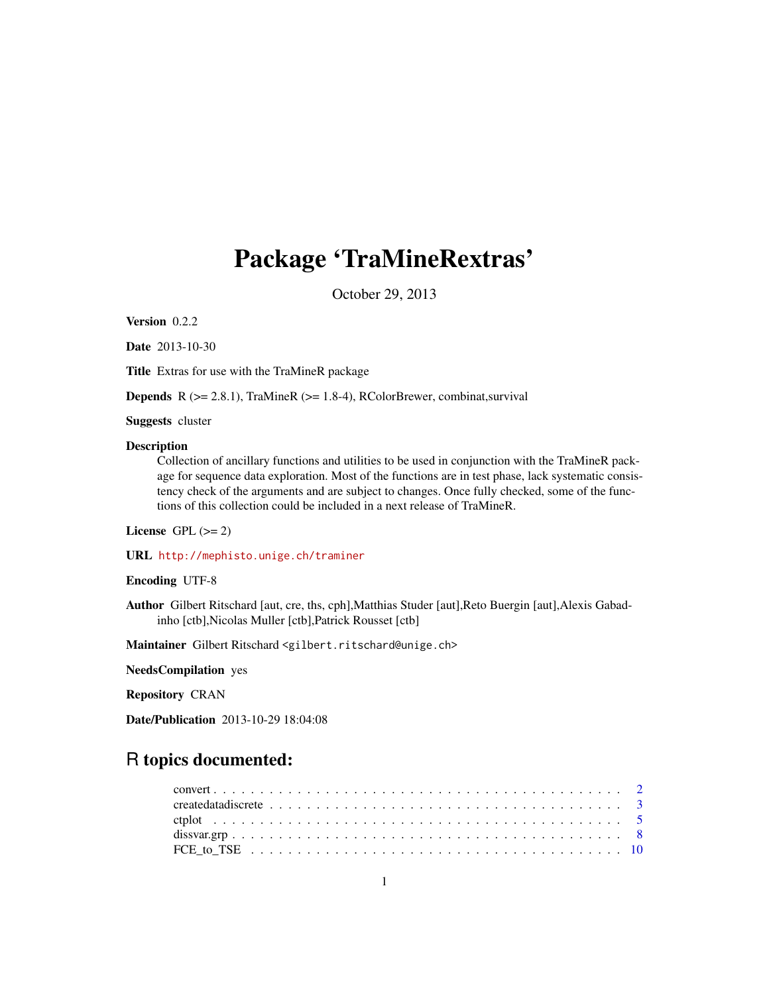# Package 'TraMineRextras'

October 29, 2013

<span id="page-0-0"></span>Version 0.2.2

Date 2013-10-30

Title Extras for use with the TraMineR package

**Depends** R  $(>= 2.8.1)$ , TraMineR  $(>= 1.8-4)$ , RColorBrewer, combinat, survival

Suggests cluster

#### Description

Collection of ancillary functions and utilities to be used in conjunction with the TraMineR package for sequence data exploration. Most of the functions are in test phase, lack systematic consistency check of the arguments and are subject to changes. Once fully checked, some of the functions of this collection could be included in a next release of TraMineR.

# License GPL  $(>= 2)$

URL <http://mephisto.unige.ch/traminer>

# Encoding UTF-8

Author Gilbert Ritschard [aut, cre, ths, cph],Matthias Studer [aut],Reto Buergin [aut],Alexis Gabadinho [ctb],Nicolas Muller [ctb],Patrick Rousset [ctb]

Maintainer Gilbert Ritschard <gilbert.ritschard@unige.ch>

NeedsCompilation yes

Repository CRAN

Date/Publication 2013-10-29 18:04:08

# R topics documented: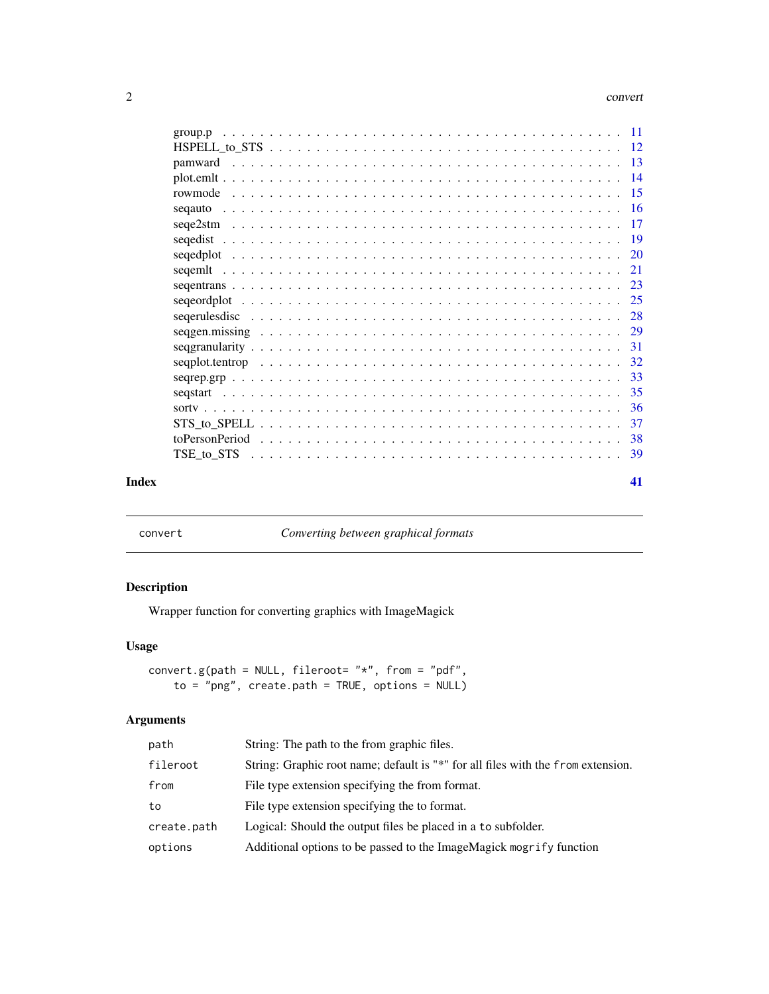#### <span id="page-1-0"></span>2 convert

| Index | 41      |  |
|-------|---------|--|
|       |         |  |
|       |         |  |
|       | 37      |  |
|       |         |  |
|       |         |  |
|       |         |  |
|       |         |  |
|       |         |  |
|       |         |  |
|       |         |  |
|       |         |  |
|       |         |  |
|       |         |  |
|       |         |  |
|       |         |  |
|       |         |  |
|       |         |  |
|       |         |  |
|       |         |  |
|       | pamward |  |
|       |         |  |
|       |         |  |

convert *Converting between graphical formats*

# Description

Wrapper function for converting graphics with ImageMagick

# Usage

```
convert.g(path = NULL, fileroot= "*", from = "pdf",
    to = "png", create.path = TRUE, options = NULL)
```

| path        | String: The path to the from graphic files.                                      |
|-------------|----------------------------------------------------------------------------------|
| fileroot    | String: Graphic root name; default is "*" for all files with the from extension. |
| from        | File type extension specifying the from format.                                  |
| to          | File type extension specifying the to format.                                    |
| create.path | Logical: Should the output files be placed in a to subfolder.                    |
| options     | Additional options to be passed to the ImageMagick mogrify function              |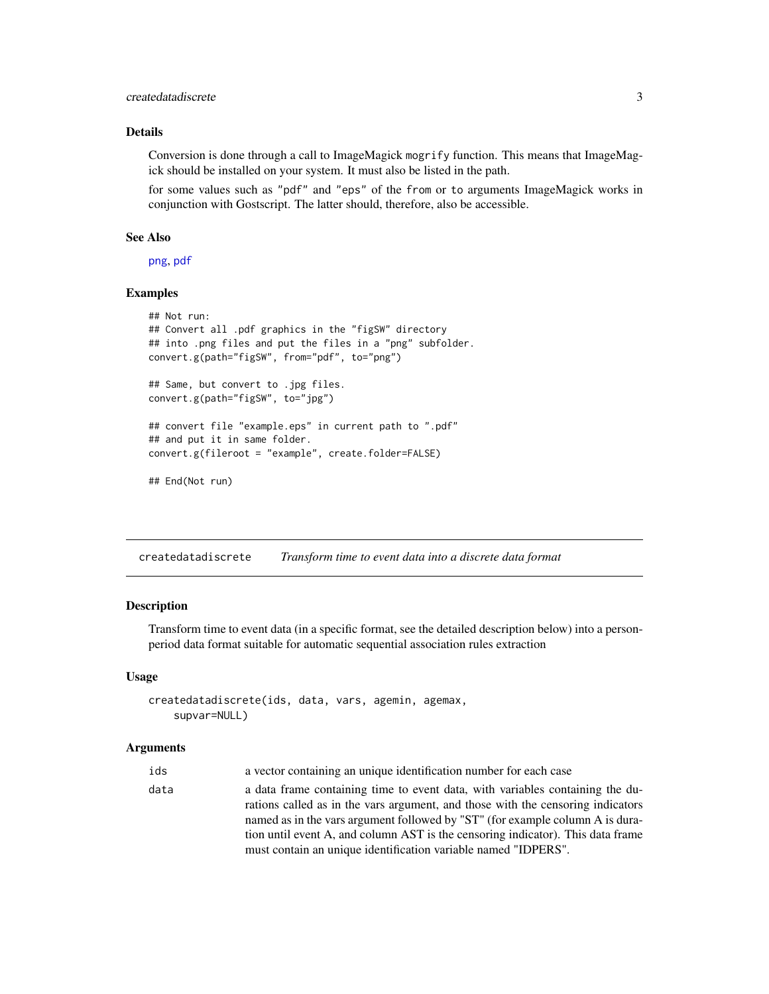# <span id="page-2-0"></span>createdatadiscrete 3

# Details

Conversion is done through a call to ImageMagick mogrify function. This means that ImageMagick should be installed on your system. It must also be listed in the path.

for some values such as "pdf" and "eps" of the from or to arguments ImageMagick works in conjunction with Gostscript. The latter should, therefore, also be accessible.

#### See Also

[png](#page-0-0), [pdf](#page-0-0)

# Examples

```
## Not run:
## Convert all .pdf graphics in the "figSW" directory
## into .png files and put the files in a "png" subfolder.
convert.g(path="figSW", from="pdf", to="png")
## Same, but convert to .jpg files.
convert.g(path="figSW", to="jpg")
## convert file "example.eps" in current path to ".pdf"
## and put it in same folder.
convert.g(fileroot = "example", create.folder=FALSE)
## End(Not run)
```
<span id="page-2-1"></span>createdatadiscrete *Transform time to event data into a discrete data format*

#### Description

Transform time to event data (in a specific format, see the detailed description below) into a personperiod data format suitable for automatic sequential association rules extraction

#### Usage

```
createdatadiscrete(ids, data, vars, agemin, agemax,
    supvar=NULL)
```

| ids  | a vector containing an unique identification number for each case               |
|------|---------------------------------------------------------------------------------|
| data | a data frame containing time to event data, with variables containing the du-   |
|      | rations called as in the vars argument, and those with the censoring indicators |
|      | named as in the vars argument followed by "ST" (for example column A is dura-   |
|      | tion until event A, and column AST is the censoring indicator). This data frame |
|      | must contain an unique identification variable named "IDPERS".                  |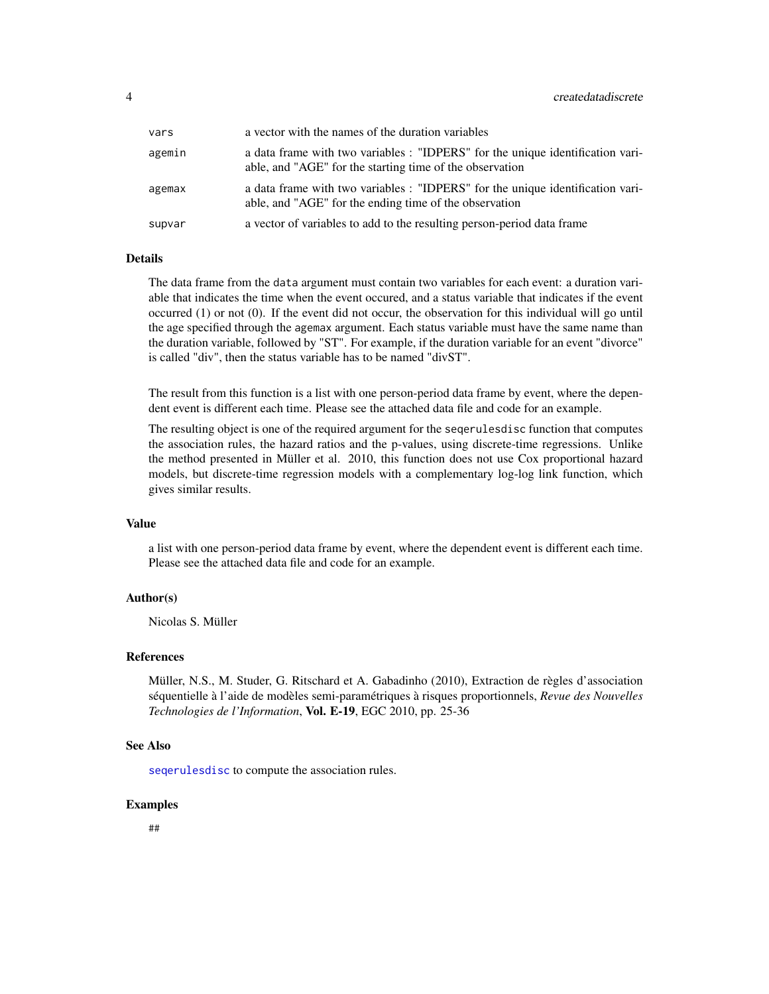<span id="page-3-0"></span>

| vars   | a vector with the names of the duration variables                                                                                          |
|--------|--------------------------------------------------------------------------------------------------------------------------------------------|
| agemin | a data frame with two variables : "IDPERS" for the unique identification vari-<br>able, and "AGE" for the starting time of the observation |
| agemax | a data frame with two variables : "IDPERS" for the unique identification vari-<br>able, and "AGE" for the ending time of the observation   |
| supvar | a vector of variables to add to the resulting person-period data frame                                                                     |

#### Details

The data frame from the data argument must contain two variables for each event: a duration variable that indicates the time when the event occured, and a status variable that indicates if the event occurred (1) or not (0). If the event did not occur, the observation for this individual will go until the age specified through the agemax argument. Each status variable must have the same name than the duration variable, followed by "ST". For example, if the duration variable for an event "divorce" is called "div", then the status variable has to be named "divST".

The result from this function is a list with one person-period data frame by event, where the dependent event is different each time. Please see the attached data file and code for an example.

The resulting object is one of the required argument for the seqerulesdisc function that computes the association rules, the hazard ratios and the p-values, using discrete-time regressions. Unlike the method presented in Müller et al. 2010, this function does not use Cox proportional hazard models, but discrete-time regression models with a complementary log-log link function, which gives similar results.

# Value

a list with one person-period data frame by event, where the dependent event is different each time. Please see the attached data file and code for an example.

# Author(s)

Nicolas S. Müller

#### References

Müller, N.S., M. Studer, G. Ritschard et A. Gabadinho (2010), Extraction de règles d'association séquentielle à l'aide de modèles semi-paramétriques à risques proportionnels, *Revue des Nouvelles Technologies de l'Information*, Vol. E-19, EGC 2010, pp. 25-36

# See Also

[seqerulesdisc](#page-27-1) to compute the association rules.

#### Examples

##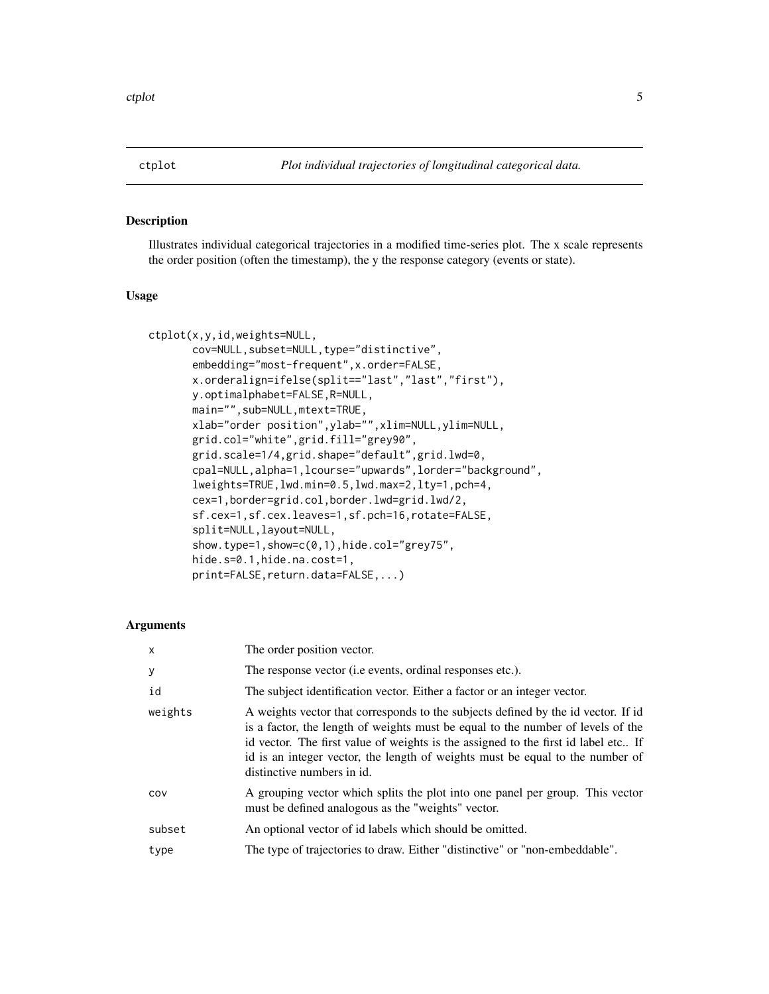# <span id="page-4-0"></span>Description

Illustrates individual categorical trajectories in a modified time-series plot. The x scale represents the order position (often the timestamp), the y the response category (events or state).

# Usage

```
ctplot(x,y,id,weights=NULL,
       cov=NULL, subset=NULL, type="distinctive",
       embedding="most-frequent",x.order=FALSE,
       x.orderalign=ifelse(split=="last","last","first"),
       y.optimalphabet=FALSE,R=NULL,
      main="",sub=NULL,mtext=TRUE,
       xlab="order position",ylab="",xlim=NULL,ylim=NULL,
       grid.col="white",grid.fill="grey90",
       grid.scale=1/4,grid.shape="default",grid.lwd=0,
       cpal=NULL,alpha=1,lcourse="upwards",lorder="background",
       lweights=TRUE,lwd.min=0.5,lwd.max=2,lty=1,pch=4,
       cex=1,border=grid.col,border.lwd=grid.lwd/2,
       sf.cex=1,sf.cex.leaves=1,sf.pch=16,rotate=FALSE,
       split=NULL,layout=NULL,
       show.type=1,show=c(0,1),hide.col="grey75",
       hide.s=0.1,hide.na.cost=1,
       print=FALSE,return.data=FALSE,...)
```

| $\mathsf{x}$ | The order position vector.                                                                                                                                                                                                                                                                                                                                                |
|--------------|---------------------------------------------------------------------------------------------------------------------------------------------------------------------------------------------------------------------------------------------------------------------------------------------------------------------------------------------------------------------------|
| У            | The response vector ( <i>i.e</i> events, ordinal responses etc.).                                                                                                                                                                                                                                                                                                         |
| id           | The subject identification vector. Either a factor or an integer vector.                                                                                                                                                                                                                                                                                                  |
| weights      | A weights vector that corresponds to the subjects defined by the id vector. If id<br>is a factor, the length of weights must be equal to the number of levels of the<br>id vector. The first value of weights is the assigned to the first id label etc If<br>id is an integer vector, the length of weights must be equal to the number of<br>distinctive numbers in id. |
| COV          | A grouping vector which splits the plot into one panel per group. This vector<br>must be defined analogous as the "weights" vector.                                                                                                                                                                                                                                       |
| subset       | An optional vector of id labels which should be omitted.                                                                                                                                                                                                                                                                                                                  |
| type         | The type of trajectories to draw. Either "distinctive" or "non-embeddable".                                                                                                                                                                                                                                                                                               |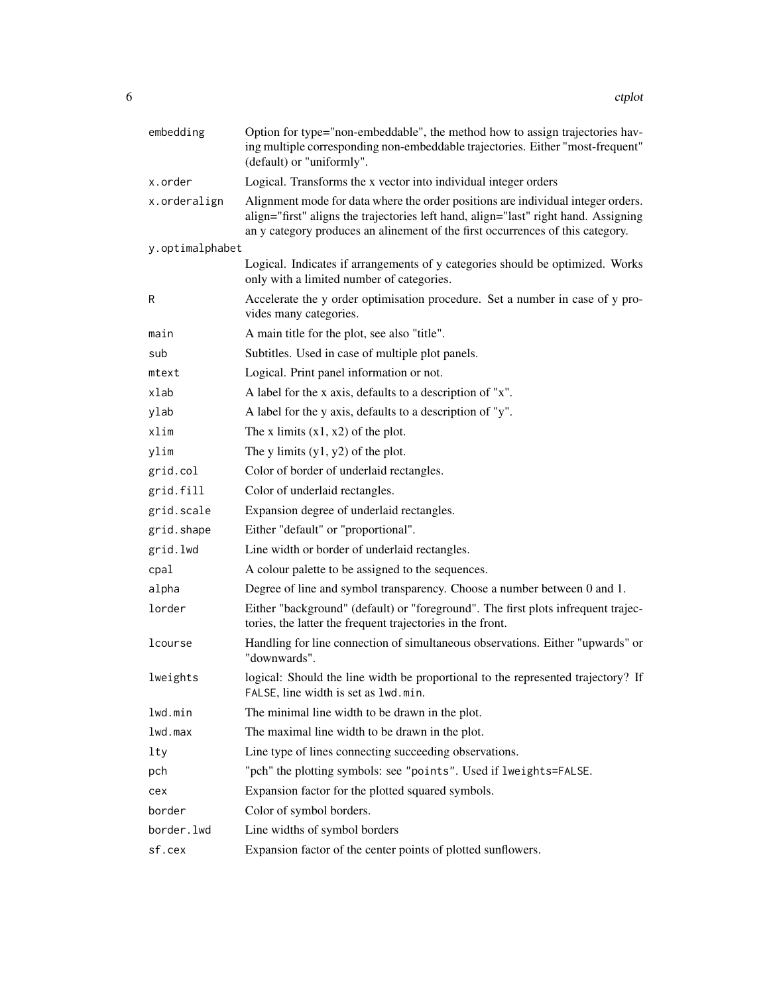| embedding       | Option for type="non-embeddable", the method how to assign trajectories hav-<br>ing multiple corresponding non-embeddable trajectories. Either "most-frequent"<br>(default) or "uniformly".                                                               |
|-----------------|-----------------------------------------------------------------------------------------------------------------------------------------------------------------------------------------------------------------------------------------------------------|
| x.order         | Logical. Transforms the x vector into individual integer orders                                                                                                                                                                                           |
| x.orderalign    | Alignment mode for data where the order positions are individual integer orders.<br>align="first" aligns the trajectories left hand, align="last" right hand. Assigning<br>an y category produces an alinement of the first occurrences of this category. |
| y.optimalphabet |                                                                                                                                                                                                                                                           |
|                 | Logical. Indicates if arrangements of y categories should be optimized. Works<br>only with a limited number of categories.                                                                                                                                |
| R               | Accelerate the y order optimisation procedure. Set a number in case of y pro-<br>vides many categories.                                                                                                                                                   |
| main            | A main title for the plot, see also "title".                                                                                                                                                                                                              |
| sub             | Subtitles. Used in case of multiple plot panels.                                                                                                                                                                                                          |
| mtext           | Logical. Print panel information or not.                                                                                                                                                                                                                  |
| xlab            | A label for the x axis, defaults to a description of "x".                                                                                                                                                                                                 |
| ylab            | A label for the y axis, defaults to a description of "y".                                                                                                                                                                                                 |
| xlim            | The x limits $(x1, x2)$ of the plot.                                                                                                                                                                                                                      |
| ylim            | The y limits $(y1, y2)$ of the plot.                                                                                                                                                                                                                      |
| grid.col        | Color of border of underlaid rectangles.                                                                                                                                                                                                                  |
| grid.fill       | Color of underlaid rectangles.                                                                                                                                                                                                                            |
| grid.scale      | Expansion degree of underlaid rectangles.                                                                                                                                                                                                                 |
| grid.shape      | Either "default" or "proportional".                                                                                                                                                                                                                       |
| grid.lwd        | Line width or border of underlaid rectangles.                                                                                                                                                                                                             |
| cpal            | A colour palette to be assigned to the sequences.                                                                                                                                                                                                         |
| alpha           | Degree of line and symbol transparency. Choose a number between 0 and 1.                                                                                                                                                                                  |
| lorder          | Either "background" (default) or "foreground". The first plots infrequent trajec-<br>tories, the latter the frequent trajectories in the front.                                                                                                           |
| lcourse         | Handling for line connection of simultaneous observations. Either "upwards" or<br>"downwards".                                                                                                                                                            |
| lweights        | logical: Should the line width be proportional to the represented trajectory? If<br>FALSE, line width is set as lwd.min.                                                                                                                                  |
| lwd.min         | The minimal line width to be drawn in the plot.                                                                                                                                                                                                           |
| lwd.max         | The maximal line width to be drawn in the plot.                                                                                                                                                                                                           |
| lty             | Line type of lines connecting succeeding observations.                                                                                                                                                                                                    |
| pch             | "pch" the plotting symbols: see "points". Used if lweights=FALSE.                                                                                                                                                                                         |
| cex             | Expansion factor for the plotted squared symbols.                                                                                                                                                                                                         |
| border          | Color of symbol borders.                                                                                                                                                                                                                                  |
| border.lwd      | Line widths of symbol borders                                                                                                                                                                                                                             |
| sf.cex          | Expansion factor of the center points of plotted sunflowers.                                                                                                                                                                                              |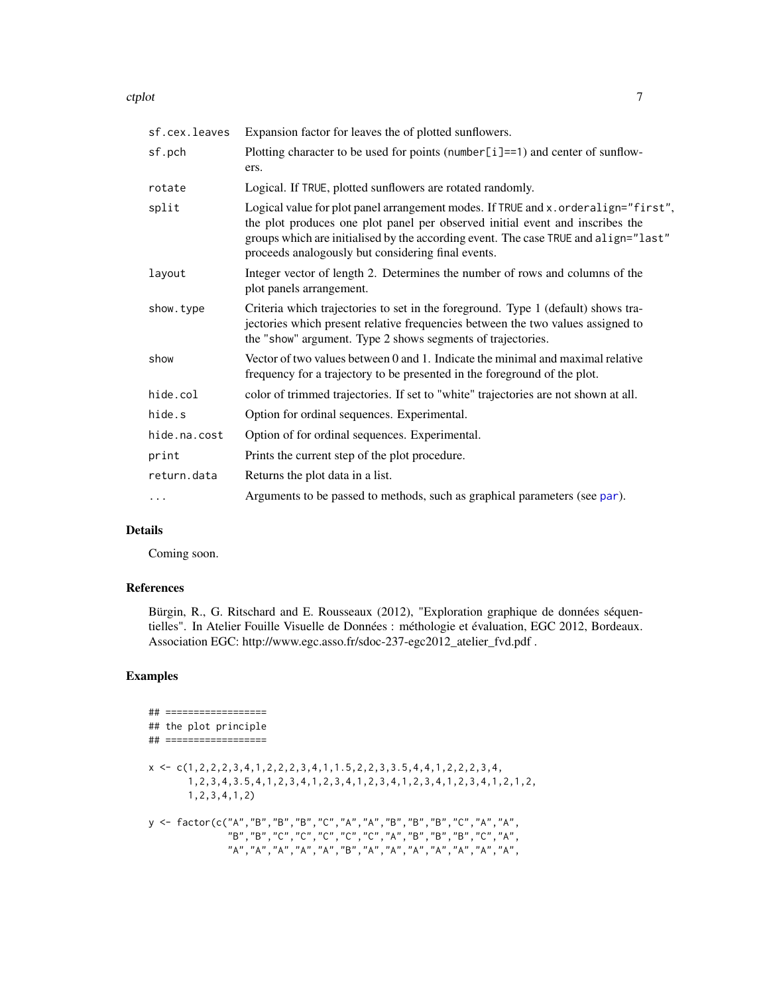<span id="page-6-0"></span>ctplot the contract of the contract of the contract of the contract of the contract of the contract of the contract of the contract of the contract of the contract of the contract of the contract of the contract of the con

| sf.cex.leaves | Expansion factor for leaves the of plotted sunflowers.                                                                                                                                                                                                                                                            |
|---------------|-------------------------------------------------------------------------------------------------------------------------------------------------------------------------------------------------------------------------------------------------------------------------------------------------------------------|
| sf.pch        | Plotting character to be used for points (number $[i] == 1$ ) and center of sunflow-<br>ers.                                                                                                                                                                                                                      |
| rotate        | Logical. If TRUE, plotted sunflowers are rotated randomly.                                                                                                                                                                                                                                                        |
| split         | Logical value for plot panel arrangement modes. If TRUE and x . orderalign="first",<br>the plot produces one plot panel per observed initial event and inscribes the<br>groups which are initialised by the according event. The case TRUE and align="last"<br>proceeds analogously but considering final events. |
| layout        | Integer vector of length 2. Determines the number of rows and columns of the<br>plot panels arrangement.                                                                                                                                                                                                          |
| show.type     | Criteria which trajectories to set in the foreground. Type 1 (default) shows tra-<br>jectories which present relative frequencies between the two values assigned to<br>the "show" argument. Type 2 shows segments of trajectories.                                                                               |
| show          | Vector of two values between 0 and 1. Indicate the minimal and maximal relative<br>frequency for a trajectory to be presented in the foreground of the plot.                                                                                                                                                      |
| hide.col      | color of trimmed trajectories. If set to "white" trajectories are not shown at all.                                                                                                                                                                                                                               |
| hide.s        | Option for ordinal sequences. Experimental.                                                                                                                                                                                                                                                                       |
| hide.na.cost  | Option of for ordinal sequences. Experimental.                                                                                                                                                                                                                                                                    |
| print         | Prints the current step of the plot procedure.                                                                                                                                                                                                                                                                    |
| return.data   | Returns the plot data in a list.                                                                                                                                                                                                                                                                                  |
| $\cdots$      | Arguments to be passed to methods, such as graphical parameters (see par).                                                                                                                                                                                                                                        |

# Details

Coming soon.

# References

Bürgin, R., G. Ritschard and E. Rousseaux (2012), "Exploration graphique de données séquentielles". In Atelier Fouille Visuelle de Données : méthologie et évaluation, EGC 2012, Bordeaux. Association EGC: http://www.egc.asso.fr/sdoc-237-egc2012\_atelier\_fvd.pdf .

```
## ==================
## the plot principle
## ==================
x \leftarrow c(1, 2, 2, 2, 3, 4, 1, 2, 2, 2, 3, 4, 1, 1.5, 2, 2, 3, 3.5, 4, 4, 1, 2, 2, 2, 3, 4,1,2,3,4,3.5,4,1,2,3,4,1,2,3,4,1,2,3,4,1,2,3,4,1,2,3,4,1,2,1,2,
       1,2,3,4,1,2)
y <- factor(c("A","B","B","B","C","A","A","B","B","B","C","A","A",
               "B","B","C","C","C","C","C","A","B","B","B","C","A",
               "A","A","A","A","A","B","A","A","A","A","A","A","A",
```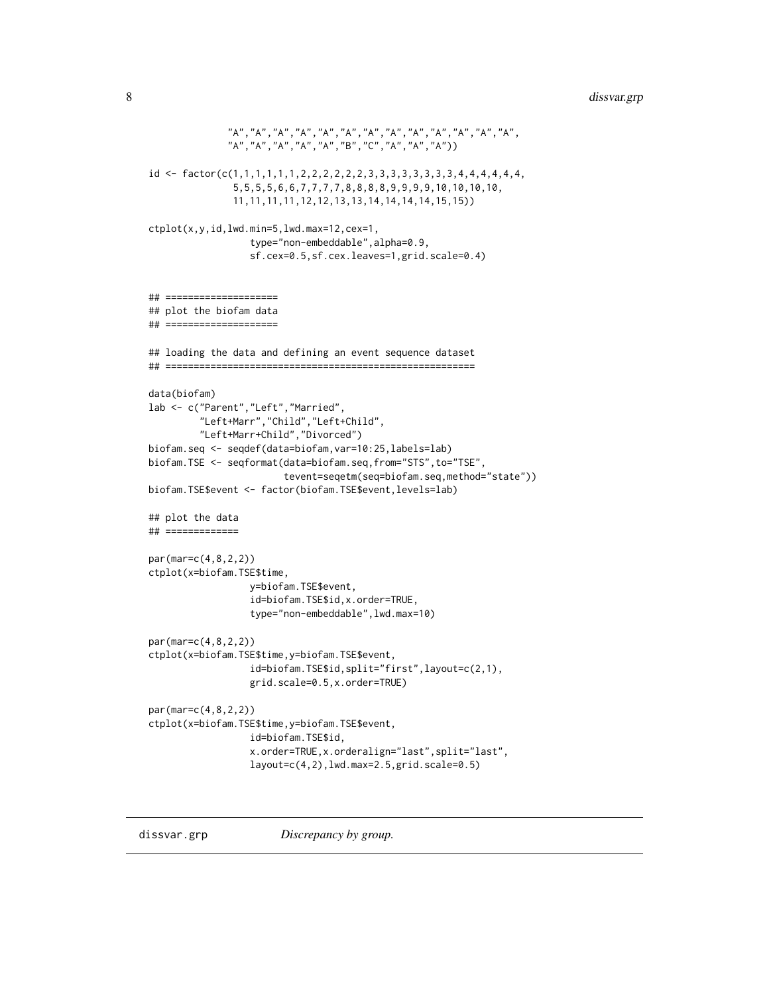```
"A","A","A","A","A","A","A","A","A","A","A","A","A",
              "A","A","A","A","A","B","C","A","A","A"))
id <- factor(c(1,1,1,1,1,1,2,2,2,2,2,2,3,3,3,3,3,3,3,3,4,4,4,4,4,4,
               5,5,5,5,6,6,7,7,7,7,8,8,8,8,9,9,9,9,10,10,10,10,
               11,11,11,11,12,12,13,13,14,14,14,14,15,15))
ctplot(x,y,id,lwd.min=5,lwd.max=12,cex=1,
                  type="non-embeddable",alpha=0.9,
                  sf.cex=0.5,sf.cex.leaves=1,grid.scale=0.4)
## ====================
## plot the biofam data
## ====================
## loading the data and defining an event sequence dataset
## =======================================================
data(biofam)
lab <- c("Parent","Left","Married",
         "Left+Marr","Child","Left+Child",
         "Left+Marr+Child","Divorced")
biofam.seq <- seqdef(data=biofam,var=10:25,labels=lab)
biofam.TSE <- seqformat(data=biofam.seq,from="STS",to="TSE",
                        tevent=seqetm(seq=biofam.seq,method="state"))
biofam.TSE$event <- factor(biofam.TSE$event,levels=lab)
## plot the data
## =============
par(mar=c(4,8,2,2))
ctplot(x=biofam.TSE$time,
                  y=biofam.TSE$event,
                  id=biofam.TSE$id,x.order=TRUE,
                  type="non-embeddable",lwd.max=10)
par(mar=c(4,8,2,2))
ctplot(x=biofam.TSE$time,y=biofam.TSE$event,
                  id=biofam.TSE$id,split="first",layout=c(2,1),
                  grid.scale=0.5,x.order=TRUE)
par(mar=c(4,8,2,2))
ctplot(x=biofam.TSE$time,y=biofam.TSE$event,
                  id=biofam.TSE$id,
                  x.order=TRUE,x.orderalign="last",split="last",
                  layout=c(4,2),lwd.max=2.5,grid.scale=0.5)
```
dissvar.grp *Discrepancy by group.*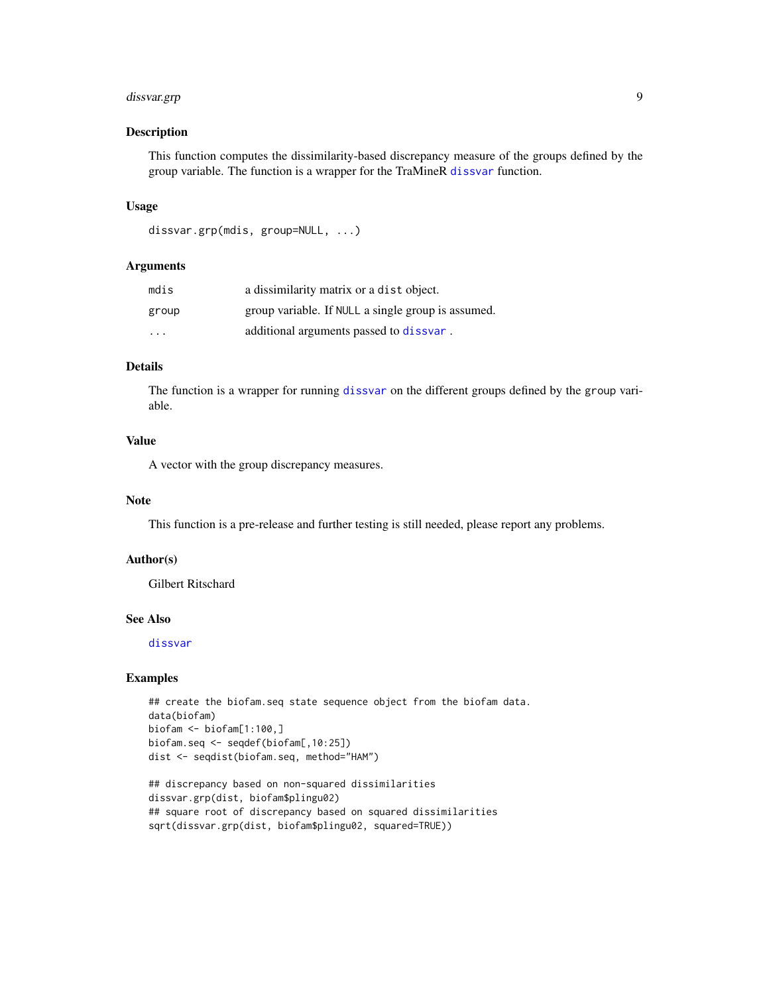# <span id="page-8-0"></span>dissvar.grp 9

#### Description

This function computes the dissimilarity-based discrepancy measure of the groups defined by the group variable. The function is a wrapper for the TraMineR [dissvar](#page-0-0) function.

# Usage

```
dissvar.grp(mdis, group=NULL, ...)
```
#### Arguments

| mdis                    | a dissimilarity matrix or a dist object.           |
|-------------------------|----------------------------------------------------|
| group                   | group variable. If NULL a single group is assumed. |
| $\cdot$ $\cdot$ $\cdot$ | additional arguments passed to dissvar.            |

# Details

The function is a wrapper for running [dissvar](#page-0-0) on the different groups defined by the group variable.

# Value

A vector with the group discrepancy measures.

#### Note

This function is a pre-release and further testing is still needed, please report any problems.

#### Author(s)

Gilbert Ritschard

# See Also

[dissvar](#page-0-0)

```
## create the biofam.seq state sequence object from the biofam data.
data(biofam)
biofam <- biofam[1:100,]
biofam.seq <- seqdef(biofam[,10:25])
dist <- seqdist(biofam.seq, method="HAM")
```

```
## discrepancy based on non-squared dissimilarities
dissvar.grp(dist, biofam$plingu02)
## square root of discrepancy based on squared dissimilarities
sqrt(dissvar.grp(dist, biofam$plingu02, squared=TRUE))
```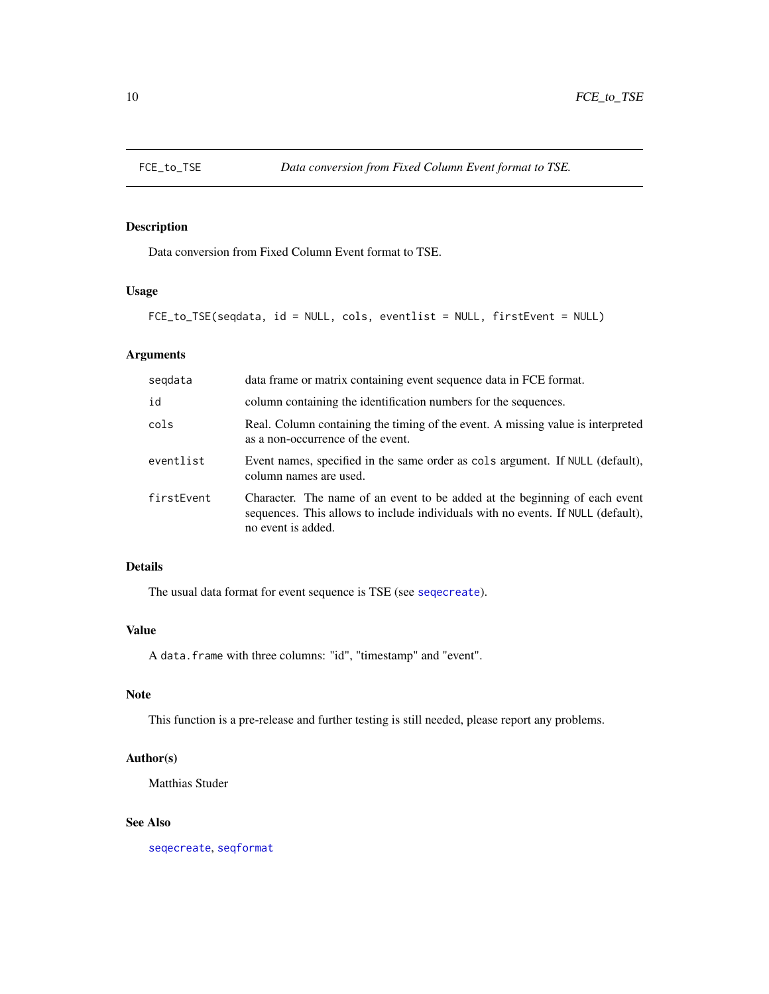<span id="page-9-0"></span>

# Description

Data conversion from Fixed Column Event format to TSE.

# Usage

```
FCE_to_TSE(seqdata, id = NULL, cols, eventlist = NULL, firstEvent = NULL)
```
# Arguments

| segdata    | data frame or matrix containing event sequence data in FCE format.                                                                                                                   |
|------------|--------------------------------------------------------------------------------------------------------------------------------------------------------------------------------------|
| id         | column containing the identification numbers for the sequences.                                                                                                                      |
| cols       | Real. Column containing the timing of the event. A missing value is interpreted<br>as a non-occurrence of the event.                                                                 |
| eventlist  | Event names, specified in the same order as cols argument. If NULL (default),<br>column names are used.                                                                              |
| firstEvent | Character. The name of an event to be added at the beginning of each event<br>sequences. This allows to include individuals with no events. If NULL (default),<br>no event is added. |

# Details

The usual data format for event sequence is TSE (see [seqecreate](#page-0-0)).

# Value

A data.frame with three columns: "id", "timestamp" and "event".

# Note

This function is a pre-release and further testing is still needed, please report any problems.

# Author(s)

Matthias Studer

# See Also

[seqecreate](#page-0-0), [seqformat](#page-0-0)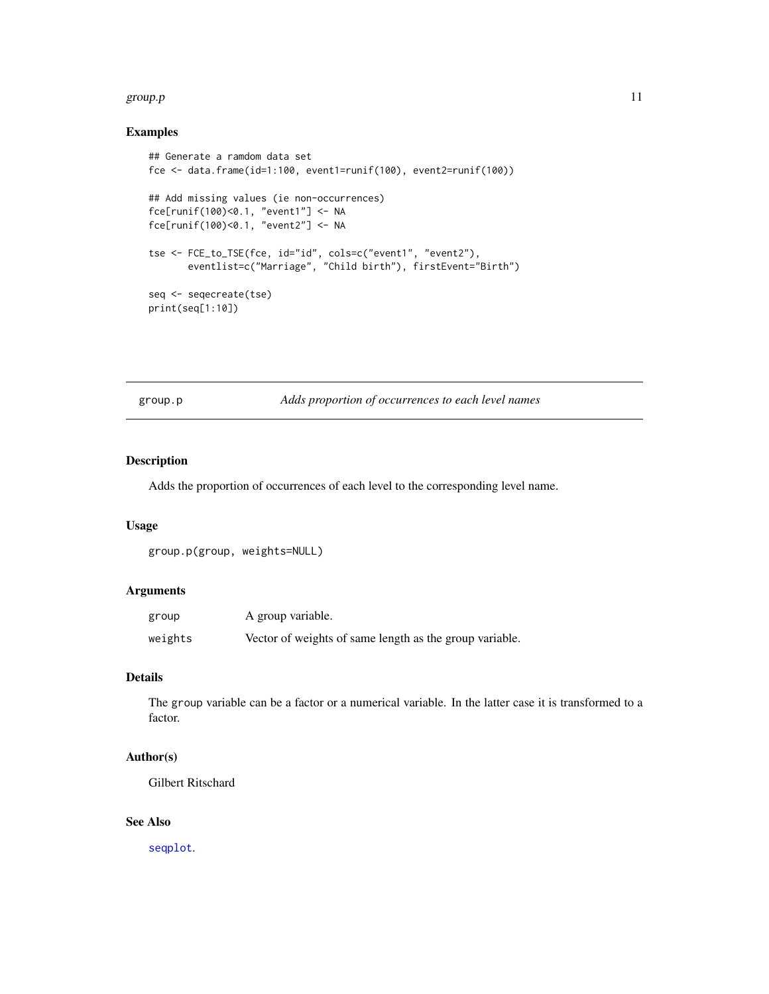#### <span id="page-10-0"></span>group.p and the state of the state of the state of the state of the state of the state of the state of the state of the state of the state of the state of the state of the state of the state of the state of the state of th

# Examples

```
## Generate a ramdom data set
fce <- data.frame(id=1:100, event1=runif(100), event2=runif(100))
## Add missing values (ie non-occurrences)
fce[runif(100)<0.1, "event1"] <- NA
fce[runif(100)<0.1, "event2"] <- NA
tse <- FCE_to_TSE(fce, id="id", cols=c("event1", "event2"),
       eventlist=c("Marriage", "Child birth"), firstEvent="Birth")
seq <- seqecreate(tse)
print(seq[1:10])
```
group.p *Adds proportion of occurrences to each level names*

# Description

Adds the proportion of occurrences of each level to the corresponding level name.

#### Usage

```
group.p(group, weights=NULL)
```
# Arguments

| group   | A group variable.                                       |
|---------|---------------------------------------------------------|
| weights | Vector of weights of same length as the group variable. |

# Details

The group variable can be a factor or a numerical variable. In the latter case it is transformed to a factor.

#### Author(s)

Gilbert Ritschard

# See Also

[seqplot](#page-0-0).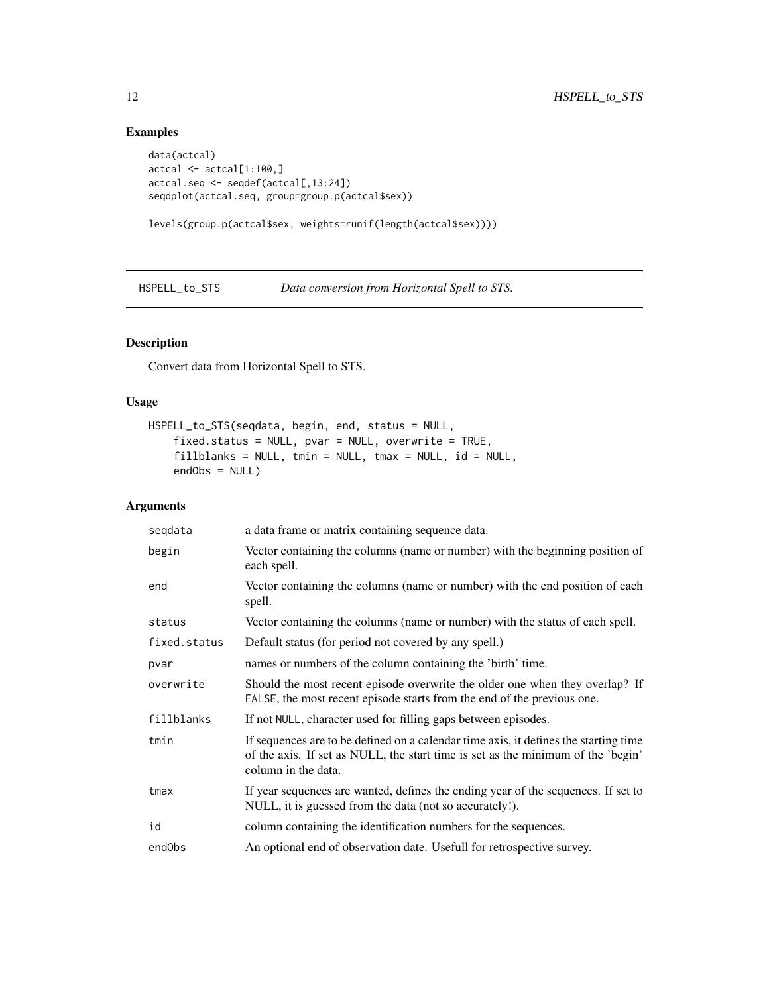# Examples

```
data(actcal)
actcal <- actcal[1:100,]
actcal.seq <- seqdef(actcal[,13:24])
seqdplot(actcal.seq, group=group.p(actcal$sex))
```

```
levels(group.p(actcal$sex, weights=runif(length(actcal$sex))))
```
HSPELL\_to\_STS *Data conversion from Horizontal Spell to STS.*

# Description

Convert data from Horizontal Spell to STS.

# Usage

```
HSPELL_to_STS(seqdata, begin, end, status = NULL,
    fixed.status = NULL, pvar = NULL, overwrite = TRUE,
    fillblanks = NULL, tmin = NULL, tmax = NULL, id = NULL,
   endObs = NULL)
```

| seqdata      | a data frame or matrix containing sequence data.                                                                                                                                                |
|--------------|-------------------------------------------------------------------------------------------------------------------------------------------------------------------------------------------------|
| begin        | Vector containing the columns (name or number) with the beginning position of<br>each spell.                                                                                                    |
| end          | Vector containing the columns (name or number) with the end position of each<br>spell.                                                                                                          |
| status       | Vector containing the columns (name or number) with the status of each spell.                                                                                                                   |
| fixed.status | Default status (for period not covered by any spell.)                                                                                                                                           |
| pvar         | names or numbers of the column containing the 'birth' time.                                                                                                                                     |
| overwrite    | Should the most recent episode overwrite the older one when they overlap? If<br>FALSE, the most recent episode starts from the end of the previous one.                                         |
| fillblanks   | If not NULL, character used for filling gaps between episodes.                                                                                                                                  |
| tmin         | If sequences are to be defined on a calendar time axis, it defines the starting time<br>of the axis. If set as NULL, the start time is set as the minimum of the 'begin'<br>column in the data. |
| tmax         | If year sequences are wanted, defines the ending year of the sequences. If set to<br>NULL, it is guessed from the data (not so accurately!).                                                    |
| id           | column containing the identification numbers for the sequences.                                                                                                                                 |
| endObs       | An optional end of observation date. Usefull for retrospective survey.                                                                                                                          |

<span id="page-11-0"></span>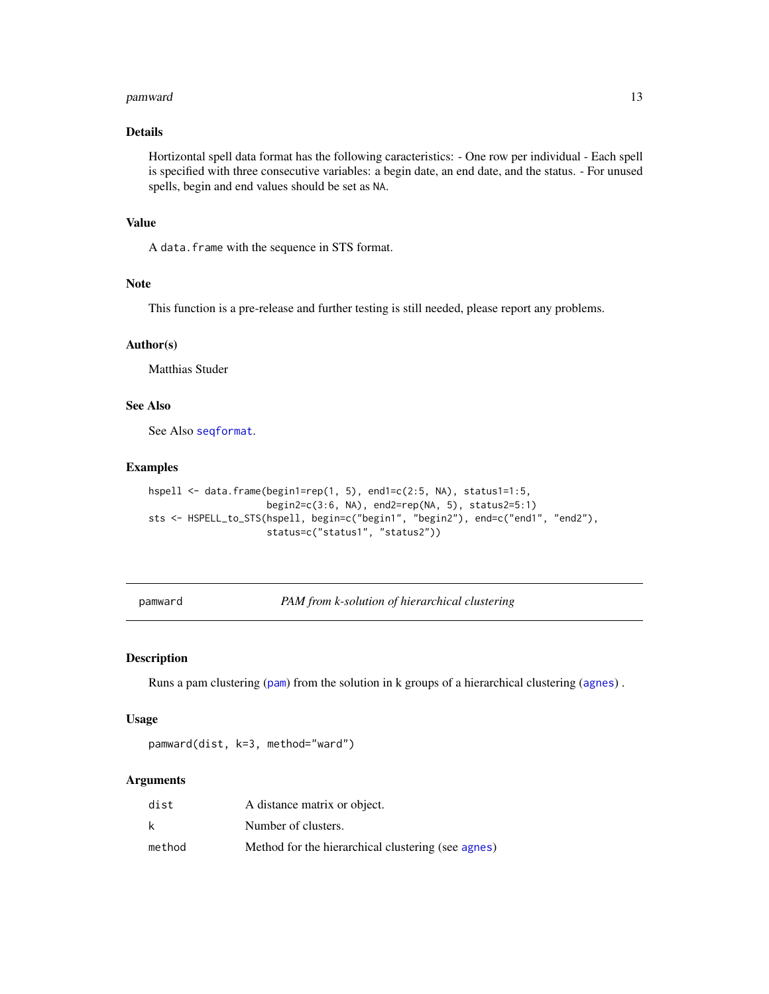#### <span id="page-12-0"></span>pamward the contract of the contract of the contract of the contract of the contract of the contract of the contract of the contract of the contract of the contract of the contract of the contract of the contract of the co

# Details

Hortizontal spell data format has the following caracteristics: - One row per individual - Each spell is specified with three consecutive variables: a begin date, an end date, and the status. - For unused spells, begin and end values should be set as NA.

# Value

A data.frame with the sequence in STS format.

# Note

This function is a pre-release and further testing is still needed, please report any problems.

# Author(s)

Matthias Studer

# See Also

See Also [seqformat](#page-0-0).

#### Examples

```
hspell <- data.frame(begin1=rep(1, 5), end1=c(2:5, NA), status1=1:5,
                     begin2=c(3:6, NA), end2=rep(NA, 5), status2=5:1)
sts <- HSPELL_to_STS(hspell, begin=c("begin1", "begin2"), end=c("end1", "end2"),
                     status=c("status1", "status2"))
```
pamward *PAM from k-solution of hierarchical clustering*

# Description

Runs a pam clustering ([pam](#page-0-0)) from the solution in k groups of a hierarchical clustering ([agnes](#page-0-0)) .

#### Usage

```
pamward(dist, k=3, method="ward")
```

| dist   | A distance matrix or object.                       |
|--------|----------------------------------------------------|
| k      | Number of clusters.                                |
| method | Method for the hierarchical clustering (see agnes) |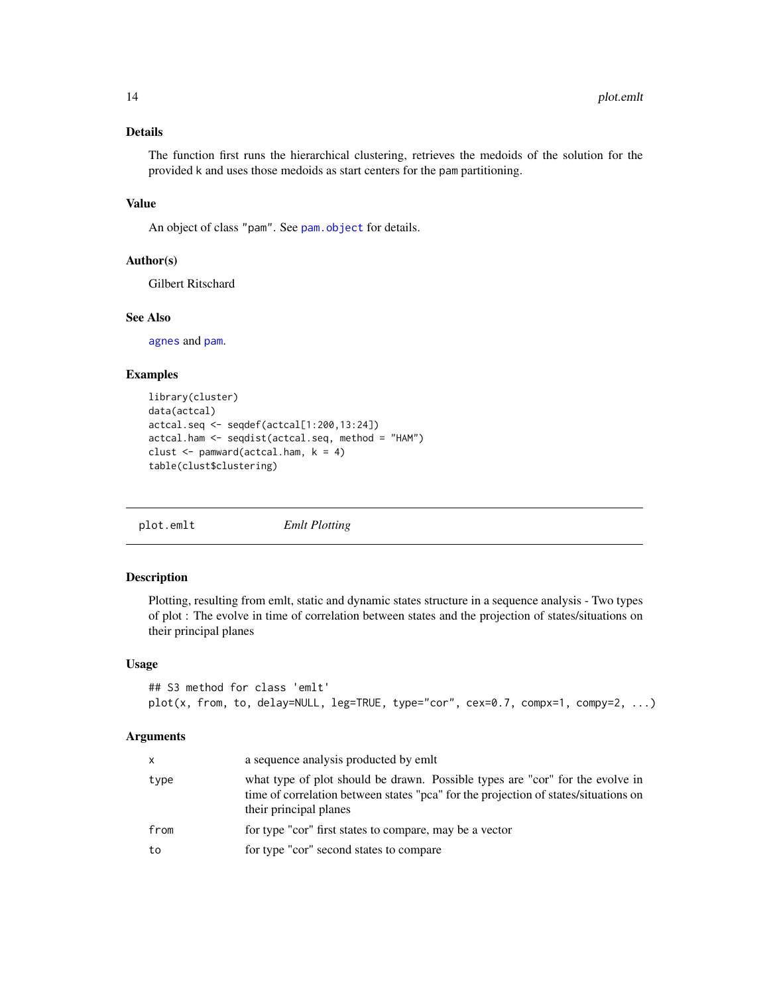# <span id="page-13-0"></span>Details

The function first runs the hierarchical clustering, retrieves the medoids of the solution for the provided k and uses those medoids as start centers for the pam partitioning.

# Value

An object of class "pam". See [pam.object](#page-0-0) for details.

# Author(s)

Gilbert Ritschard

# See Also

[agnes](#page-0-0) and [pam](#page-0-0).

#### Examples

```
library(cluster)
data(actcal)
actcal.seq <- seqdef(actcal[1:200,13:24])
actcal.ham <- seqdist(actcal.seq, method = "HAM")
clust \leq pamward(actcal.ham, k = 4)
table(clust$clustering)
```
plot.emlt *Emlt Plotting*

#### Description

Plotting, resulting from emlt, static and dynamic states structure in a sequence analysis - Two types of plot : The evolve in time of correlation between states and the projection of states/situations on their principal planes

#### Usage

```
## S3 method for class 'emlt'
plot(x, from, to, delay=NULL, leg=TRUE, type="cor", cex=0.7, compx=1, compy=2, ...)
```

| X    | a sequence analysis producted by emit                                                                                                                                                          |
|------|------------------------------------------------------------------------------------------------------------------------------------------------------------------------------------------------|
| type | what type of plot should be drawn. Possible types are "cor" for the evolve in<br>time of correlation between states "pca" for the projection of states/situations on<br>their principal planes |
| from | for type "cor" first states to compare, may be a vector                                                                                                                                        |
| to   | for type "cor" second states to compare                                                                                                                                                        |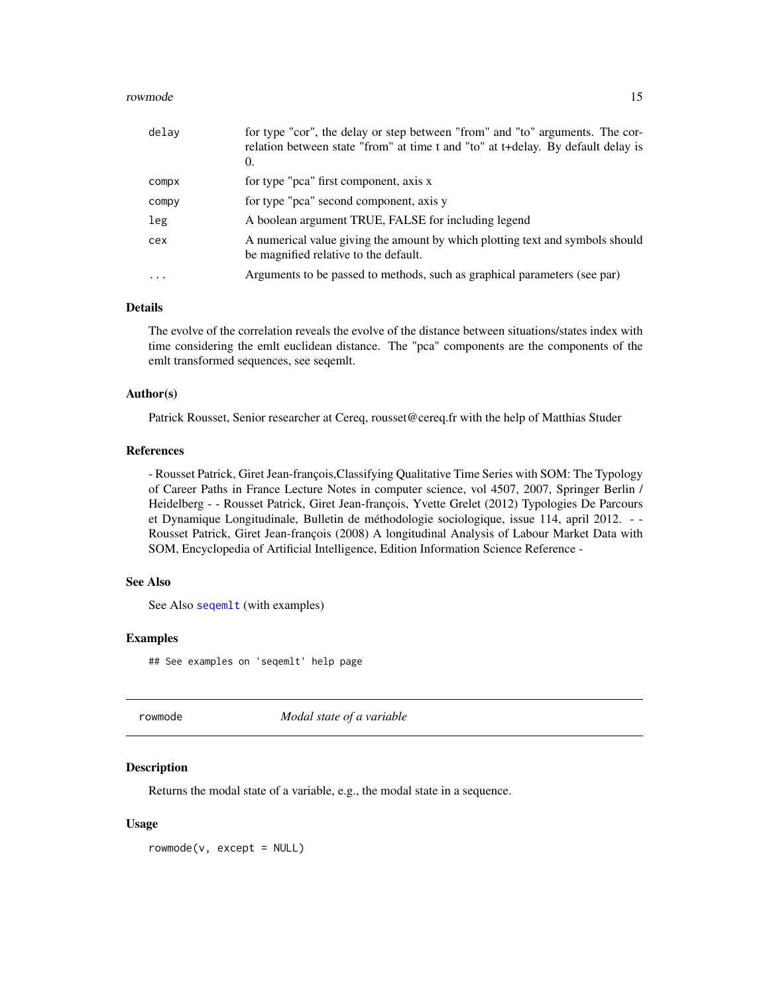#### <span id="page-14-0"></span>rowmode that the state of the state of the state of the state of the state of the state of the state of the state of the state of the state of the state of the state of the state of the state of the state of the state of t

| delay   | for type "cor", the delay or step between "from" and "to" arguments. The cor-<br>relation between state "from" at time t and "to" at t+delay. By default delay is<br>0. |
|---------|-------------------------------------------------------------------------------------------------------------------------------------------------------------------------|
| compx   | for type "pca" first component, axis x                                                                                                                                  |
| compy   | for type "pca" second component, axis y                                                                                                                                 |
| leg     | A boolean argument TRUE, FALSE for including legend                                                                                                                     |
| cex     | A numerical value giving the amount by which plotting text and symbols should<br>be magnified relative to the default.                                                  |
| $\cdot$ | Arguments to be passed to methods, such as graphical parameters (see par)                                                                                               |

#### Details

The evolve of the correlation reveals the evolve of the distance between situations/states index with time considering the emlt euclidean distance. The "pca" components are the components of the emlt transformed sequences, see seqemlt.

#### Author(s)

Patrick Rousset, Senior researcher at Cereq, rousset@cereq.fr with the help of Matthias Studer

#### References

- Rousset Patrick, Giret Jean-françois,Classifying Qualitative Time Series with SOM: The Typology of Career Paths in France Lecture Notes in computer science, vol 4507, 2007, Springer Berlin / Heidelberg - - Rousset Patrick, Giret Jean-françois, Yvette Grelet (2012) Typologies De Parcours et Dynamique Longitudinale, Bulletin de méthodologie sociologique, issue 114, april 2012. - - Rousset Patrick, Giret Jean-françois (2008) A longitudinal Analysis of Labour Market Data with SOM, Encyclopedia of Artificial Intelligence, Edition Information Science Reference -

# See Also

See Also [seqemlt](#page-20-1) (with examples)

#### Examples

## See examples on 'seqemlt' help page

rowmode *Modal state of a variable*

#### **Description**

Returns the modal state of a variable, e.g., the modal state in a sequence.

#### Usage

 $rowmode(v, except = NULL)$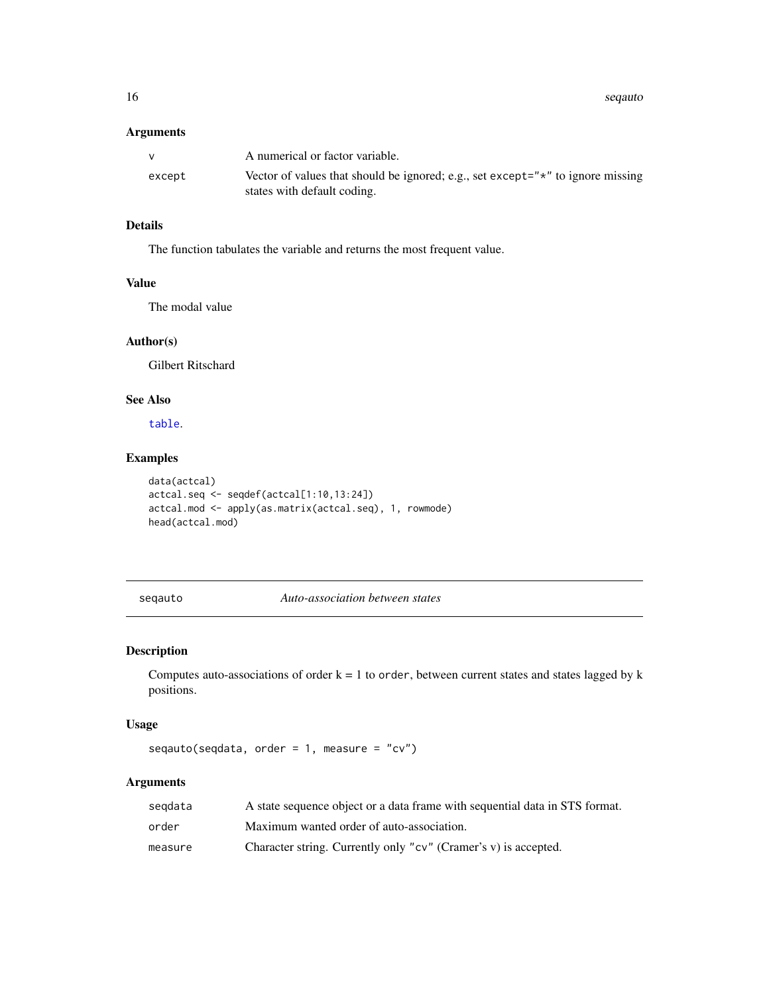<span id="page-15-0"></span>16 sequente established by the sequence of the sequente of the sequente of the sequente of the sequente of the sequente of the sequente of the sequente of the sequence of the sequence of the sequence of the sequence of the

# Arguments

| v      | A numerical or factor variable.                                                                                        |
|--------|------------------------------------------------------------------------------------------------------------------------|
| except | Vector of values that should be ignored; e.g., set except=" $\star$ " to ignore missing<br>states with default coding. |

# Details

The function tabulates the variable and returns the most frequent value.

# Value

The modal value

# Author(s)

Gilbert Ritschard

# See Also

[table](#page-0-0).

# Examples

```
data(actcal)
actcal.seq <- seqdef(actcal[1:10,13:24])
actcal.mod <- apply(as.matrix(actcal.seq), 1, rowmode)
head(actcal.mod)
```
seqauto *Auto-association between states*

# Description

Computes auto-associations of order  $k = 1$  to order, between current states and states lagged by  $k$ positions.

# Usage

seqauto(seqdata, order =  $1$ , measure = "cv")

| segdata | A state sequence object or a data frame with sequential data in STS format. |
|---------|-----------------------------------------------------------------------------|
| order   | Maximum wanted order of auto-association.                                   |
| measure | Character string. Currently only "cv" (Cramer's v) is accepted.             |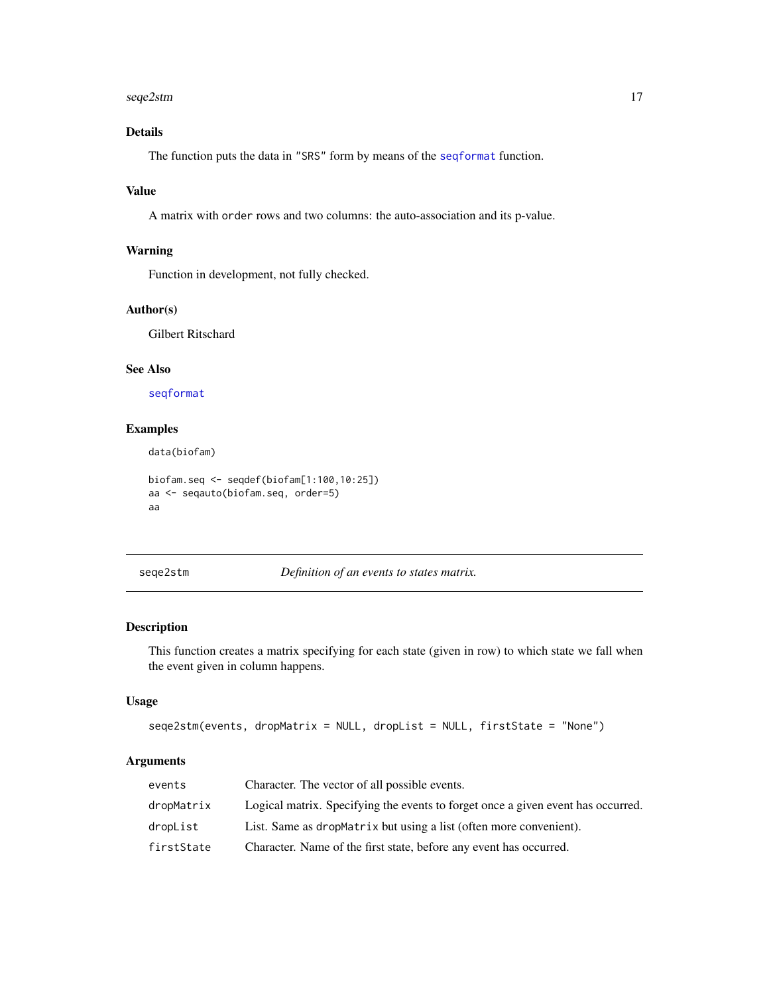#### <span id="page-16-0"></span>seqe2stm and the sequence of the sequence of the sequence of the sequence of the sequence of the sequence of the sequence of the sequence of the sequence of the sequence of the sequence of the sequence of the sequence of t

# Details

The function puts the data in "SRS" form by means of the [seqformat](#page-0-0) function.

# Value

A matrix with order rows and two columns: the auto-association and its p-value.

# Warning

Function in development, not fully checked.

# Author(s)

Gilbert Ritschard

# See Also

[seqformat](#page-0-0)

# Examples

data(biofam)

```
biofam.seq <- seqdef(biofam[1:100,10:25])
aa <- seqauto(biofam.seq, order=5)
aa
```
<span id="page-16-1"></span>seqe2stm *Definition of an events to states matrix.*

# Description

This function creates a matrix specifying for each state (given in row) to which state we fall when the event given in column happens.

#### Usage

```
seqe2stm(events, dropMatrix = NULL, dropList = NULL, firstState = "None")
```

| events     | Character. The vector of all possible events.                                    |
|------------|----------------------------------------------------------------------------------|
| dropMatrix | Logical matrix. Specifying the events to forget once a given event has occurred. |
| dropList   | List. Same as dropMatrix but using a list (often more convenient).               |
| firstState | Character. Name of the first state, before any event has occurred.               |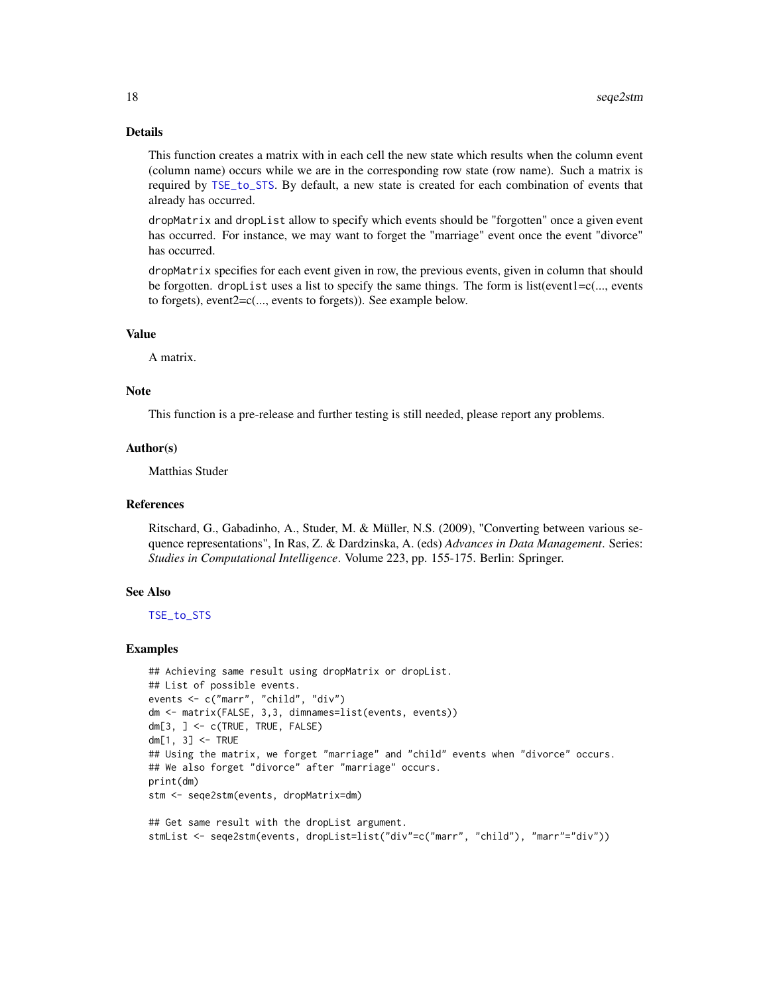### Details

This function creates a matrix with in each cell the new state which results when the column event (column name) occurs while we are in the corresponding row state (row name). Such a matrix is required by [TSE\\_to\\_STS](#page-38-1). By default, a new state is created for each combination of events that already has occurred.

dropMatrix and dropList allow to specify which events should be "forgotten" once a given event has occurred. For instance, we may want to forget the "marriage" event once the event "divorce" has occurred.

dropMatrix specifies for each event given in row, the previous events, given in column that should be forgotten. dropList uses a list to specify the same things. The form is list(event1=c(..., events to forgets), event2=c(..., events to forgets)). See example below.

#### Value

A matrix.

# Note

This function is a pre-release and further testing is still needed, please report any problems.

#### Author(s)

Matthias Studer

# References

Ritschard, G., Gabadinho, A., Studer, M. & Müller, N.S. (2009), "Converting between various sequence representations", In Ras, Z. & Dardzinska, A. (eds) *Advances in Data Management*. Series: *Studies in Computational Intelligence*. Volume 223, pp. 155-175. Berlin: Springer.

#### See Also

[TSE\\_to\\_STS](#page-38-1)

```
## Achieving same result using dropMatrix or dropList.
## List of possible events.
events <- c("marr", "child", "div")
dm <- matrix(FALSE, 3,3, dimnames=list(events, events))
dm[3, ] <- c(TRUE, TRUE, FALSE)
dm[1, 3] <- TRUE
## Using the matrix, we forget "marriage" and "child" events when "divorce" occurs.
## We also forget "divorce" after "marriage" occurs.
print(dm)
stm <- seqe2stm(events, dropMatrix=dm)
## Get same result with the dropList argument.
```

```
stmList <- seqe2stm(events, dropList=list("div"=c("marr", "child"), "marr"="div"))
```
<span id="page-17-0"></span>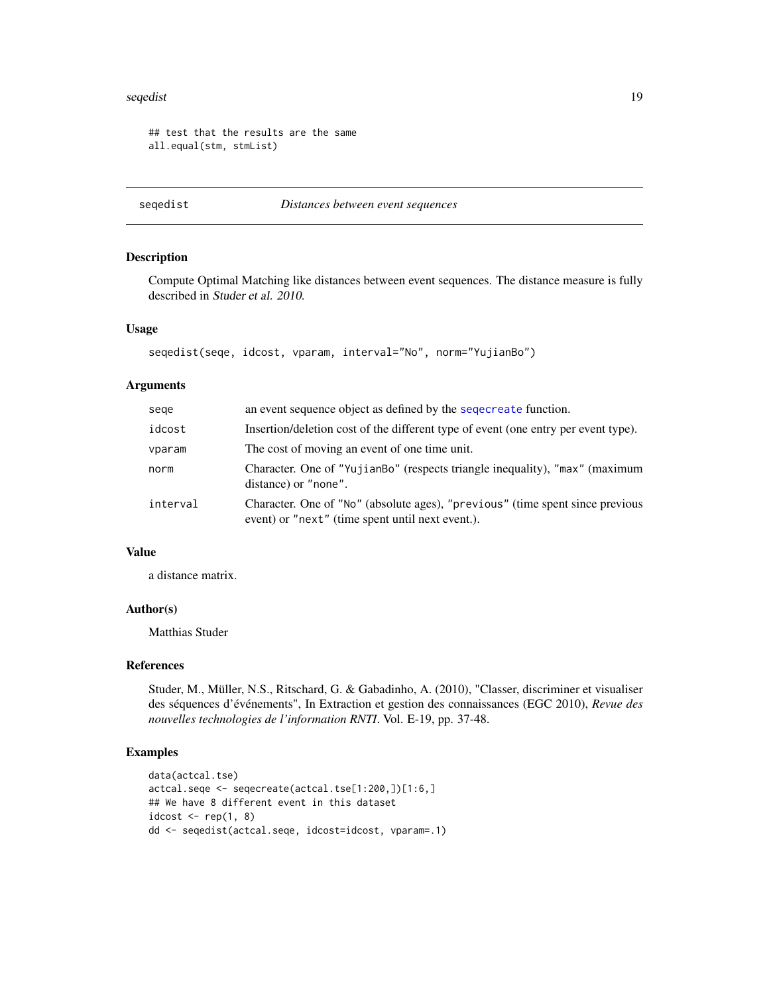#### <span id="page-18-0"></span>seqedist the sequence of the sequence of the sequence of the sequence of the sequence of the sequence of the sequence of the sequence of the sequence of the sequence of the sequence of the sequence of the sequence of the s

```
## test that the results are the same
all.equal(stm, stmList)
```
seqedist *Distances between event sequences*

# Description

Compute Optimal Matching like distances between event sequences. The distance measure is fully described in Studer et al. 2010.

#### Usage

```
seqedist(seqe, idcost, vparam, interval="No", norm="YujianBo")
```
# Arguments

| sege     | an event sequence object as defined by the sequence function.                                                                     |
|----------|-----------------------------------------------------------------------------------------------------------------------------------|
| idcost   | Insertion/deletion cost of the different type of event (one entry per event type).                                                |
| vparam   | The cost of moving an event of one time unit.                                                                                     |
| norm     | Character. One of "YujianBo" (respects triangle inequality), "max" (maximum<br>distance) or "none".                               |
| interval | Character. One of "No" (absolute ages), "previous" (time spent since previous<br>event) or "next" (time spent until next event.). |

# Value

a distance matrix.

#### Author(s)

Matthias Studer

#### References

Studer, M., Müller, N.S., Ritschard, G. & Gabadinho, A. (2010), "Classer, discriminer et visualiser des séquences d'événements", In Extraction et gestion des connaissances (EGC 2010), *Revue des nouvelles technologies de l'information RNTI*. Vol. E-19, pp. 37-48.

```
data(actcal.tse)
actcal.seqe <- seqecreate(actcal.tse[1:200,])[1:6,]
## We have 8 different event in this dataset
idcost \leq rep(1, 8)
dd <- seqedist(actcal.seqe, idcost=idcost, vparam=.1)
```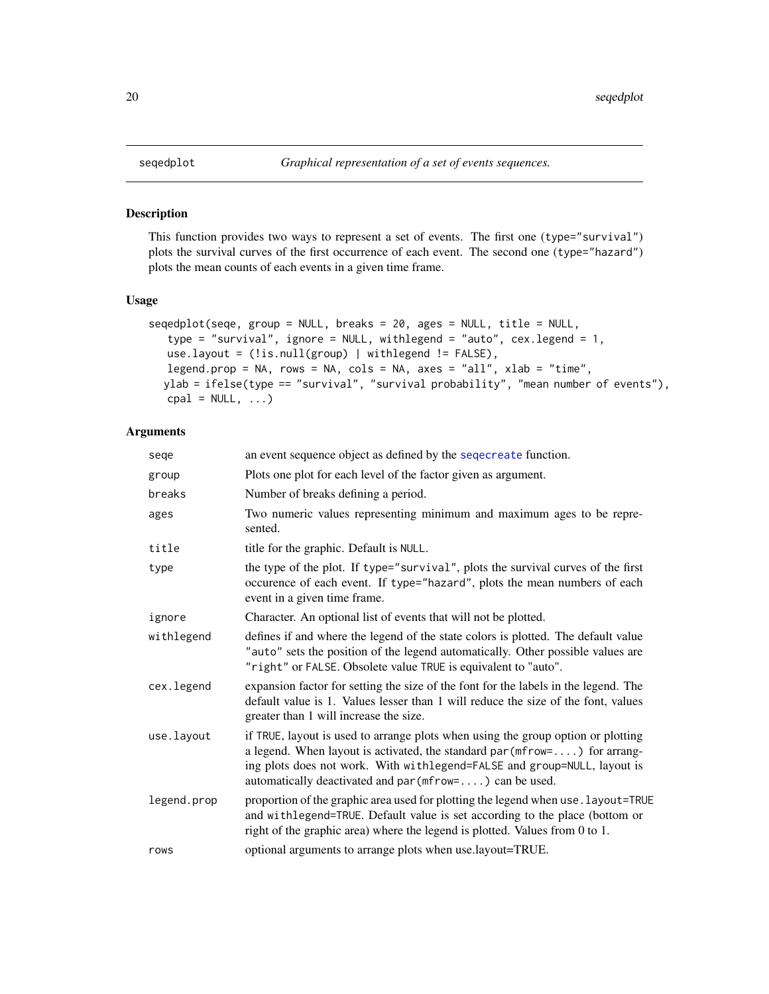# Description

This function provides two ways to represent a set of events. The first one (type="survival") plots the survival curves of the first occurrence of each event. The second one (type="hazard") plots the mean counts of each events in a given time frame.

# Usage

```
seqedplot(seqe, group = NULL, breaks = 20, ages = NULL, title = NULL,
   type = "survival", ignore = NULL, withlegend = "auto", cex.length = 1,
  use.layout = (!is.null(group) | withlegend != FALSE),
  legend.prop = NA, rows = NA, cols = NA, axes = "all", xlab = "time",
  ylab = ifelse(type == "survival", "survival probability", "mean number of events"),
  cpal = NULL, ...
```

| sege        | an event sequence object as defined by the sequereate function.                                                                                                                                                                                                                                        |
|-------------|--------------------------------------------------------------------------------------------------------------------------------------------------------------------------------------------------------------------------------------------------------------------------------------------------------|
| group       | Plots one plot for each level of the factor given as argument.                                                                                                                                                                                                                                         |
| breaks      | Number of breaks defining a period.                                                                                                                                                                                                                                                                    |
| ages        | Two numeric values representing minimum and maximum ages to be repre-<br>sented.                                                                                                                                                                                                                       |
| title       | title for the graphic. Default is NULL.                                                                                                                                                                                                                                                                |
| type        | the type of the plot. If type="survival", plots the survival curves of the first<br>occurence of each event. If type="hazard", plots the mean numbers of each<br>event in a given time frame.                                                                                                          |
| ignore      | Character. An optional list of events that will not be plotted.                                                                                                                                                                                                                                        |
| withlegend  | defines if and where the legend of the state colors is plotted. The default value<br>"auto" sets the position of the legend automatically. Other possible values are<br>"right" or FALSE. Obsolete value TRUE is equivalent to "auto".                                                                 |
| cex.legend  | expansion factor for setting the size of the font for the labels in the legend. The<br>default value is 1. Values lesser than 1 will reduce the size of the font, values<br>greater than 1 will increase the size.                                                                                     |
| use.layout  | if TRUE, layout is used to arrange plots when using the group option or plotting<br>a legend. When layout is activated, the standard par $(mfrow=)$ for arrang-<br>ing plots does not work. With withlegend=FALSE and group=NULL, layout is<br>automatically deactivated and par (mfrow=) can be used. |
| legend.prop | proportion of the graphic area used for plotting the legend when use . layout=TRUE<br>and withlegend=TRUE. Default value is set according to the place (bottom or<br>right of the graphic area) where the legend is plotted. Values from 0 to 1.                                                       |
| rows        | optional arguments to arrange plots when use.layout=TRUE.                                                                                                                                                                                                                                              |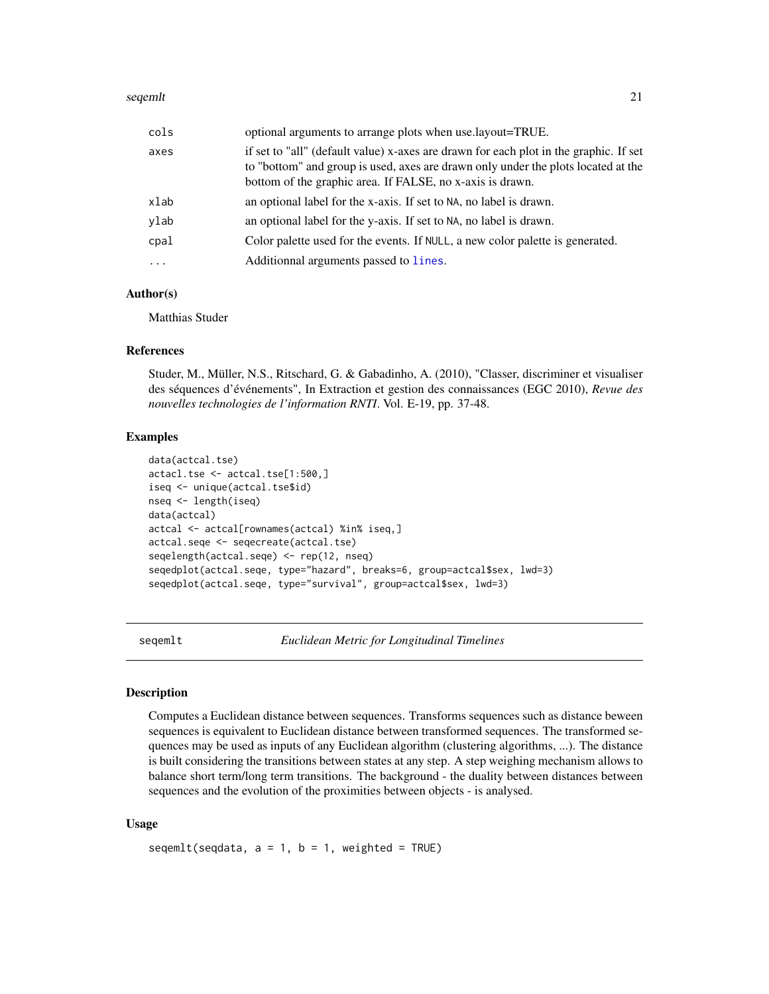#### <span id="page-20-0"></span>seqemlt 21

| cols                                       | optional arguments to arrange plots when use layout=TRUE.                                                                                                                                                                               |
|--------------------------------------------|-----------------------------------------------------------------------------------------------------------------------------------------------------------------------------------------------------------------------------------------|
| axes                                       | if set to "all" (default value) x-axes are drawn for each plot in the graphic. If set<br>to "bottom" and group is used, axes are drawn only under the plots located at the<br>bottom of the graphic area. If FALSE, no x-axis is drawn. |
| xlab                                       | an optional label for the x-axis. If set to NA, no label is drawn.                                                                                                                                                                      |
| vlab                                       | an optional label for the y-axis. If set to NA, no label is drawn.                                                                                                                                                                      |
| $\mathtt{c}\mathtt{p}\mathtt{a}\mathtt{l}$ | Color palette used for the events. If NULL, a new color palette is generated.                                                                                                                                                           |
| $\cdots$                                   | Additionnal arguments passed to lines.                                                                                                                                                                                                  |

#### Author(s)

Matthias Studer

#### References

Studer, M., Müller, N.S., Ritschard, G. & Gabadinho, A. (2010), "Classer, discriminer et visualiser des séquences d'événements", In Extraction et gestion des connaissances (EGC 2010), *Revue des nouvelles technologies de l'information RNTI*. Vol. E-19, pp. 37-48.

#### Examples

```
data(actcal.tse)
actacl.tse <- actcal.tse[1:500,]
iseq <- unique(actcal.tse$id)
nseq <- length(iseq)
data(actcal)
actcal <- actcal[rownames(actcal) %in% iseq,]
actcal.seqe <- seqecreate(actcal.tse)
seqelength(actcal.seqe) <- rep(12, nseq)
seqedplot(actcal.seqe, type="hazard", breaks=6, group=actcal$sex, lwd=3)
seqedplot(actcal.seqe, type="survival", group=actcal$sex, lwd=3)
```
<span id="page-20-1"></span>seqemlt *Euclidean Metric for Longitudinal Timelines*

# Description

Computes a Euclidean distance between sequences. Transforms sequences such as distance beween sequences is equivalent to Euclidean distance between transformed sequences. The transformed sequences may be used as inputs of any Euclidean algorithm (clustering algorithms, ...). The distance is built considering the transitions between states at any step. A step weighing mechanism allows to balance short term/long term transitions. The background - the duality between distances between sequences and the evolution of the proximities between objects - is analysed.

#### Usage

```
segment(seqdata, a = 1, b = 1, weighted = TRUE)
```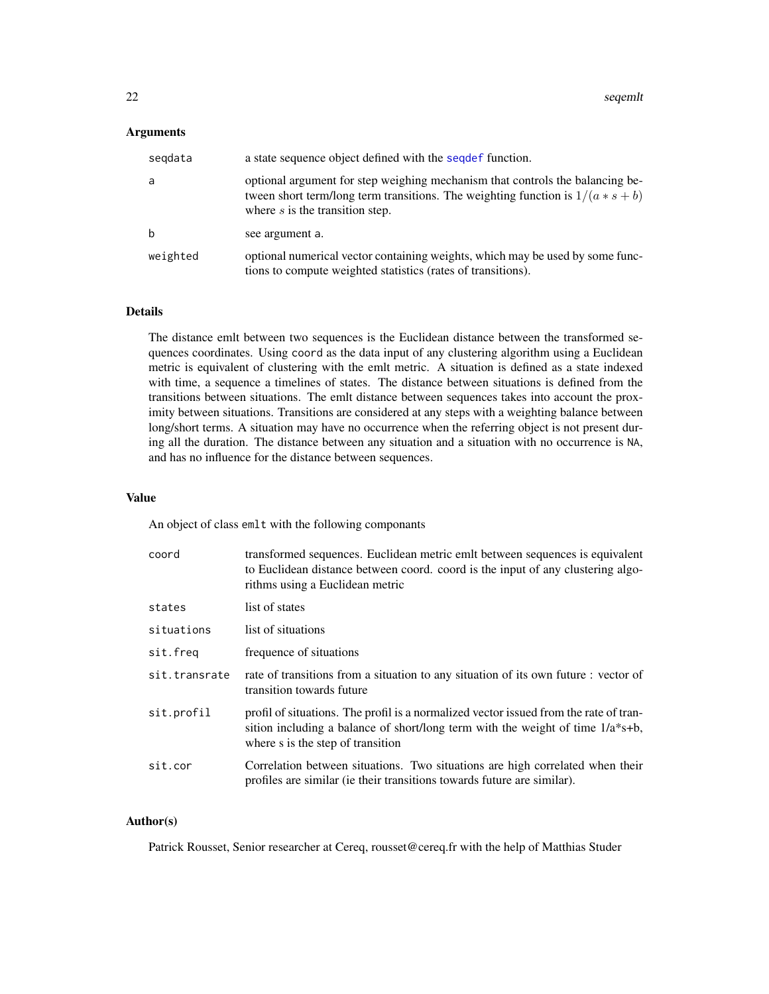### <span id="page-21-0"></span>**Arguments**

| segdata     | a state sequence object defined with the sequest function.                                                                                                                                              |
|-------------|---------------------------------------------------------------------------------------------------------------------------------------------------------------------------------------------------------|
| a           | optional argument for step weighing mechanism that controls the balancing be-<br>tween short term/long term transitions. The weighting function is $1/(a * s + b)$<br>where $s$ is the transition step. |
| $\mathbf b$ | see argument a.                                                                                                                                                                                         |
| weighted    | optional numerical vector containing weights, which may be used by some func-<br>tions to compute weighted statistics (rates of transitions).                                                           |

# Details

The distance emlt between two sequences is the Euclidean distance between the transformed sequences coordinates. Using coord as the data input of any clustering algorithm using a Euclidean metric is equivalent of clustering with the emlt metric. A situation is defined as a state indexed with time, a sequence a timelines of states. The distance between situations is defined from the transitions between situations. The emlt distance between sequences takes into account the proximity between situations. Transitions are considered at any steps with a weighting balance between long/short terms. A situation may have no occurrence when the referring object is not present during all the duration. The distance between any situation and a situation with no occurrence is NA, and has no influence for the distance between sequences.

# Value

An object of class emlt with the following componants

| coord         | transformed sequences. Euclidean metric emit between sequences is equivalent<br>to Euclidean distance between coord. coord is the input of any clustering algo-<br>rithms using a Euclidean metric              |
|---------------|-----------------------------------------------------------------------------------------------------------------------------------------------------------------------------------------------------------------|
| states        | list of states                                                                                                                                                                                                  |
| situations    | list of situations                                                                                                                                                                                              |
| sit.freq      | frequence of situations                                                                                                                                                                                         |
| sit.transrate | rate of transitions from a situation to any situation of its own future : vector of<br>transition towards future                                                                                                |
| sit.profil    | profil of situations. The profil is a normalized vector issued from the rate of tran-<br>sition including a balance of short/long term with the weight of time $1/a*s+b$ ,<br>where s is the step of transition |
| sit.cor       | Correlation between situations. Two situations are high correlated when their<br>profiles are similar (ie their transitions towards future are similar).                                                        |

# Author(s)

Patrick Rousset, Senior researcher at Cereq, rousset@cereq.fr with the help of Matthias Studer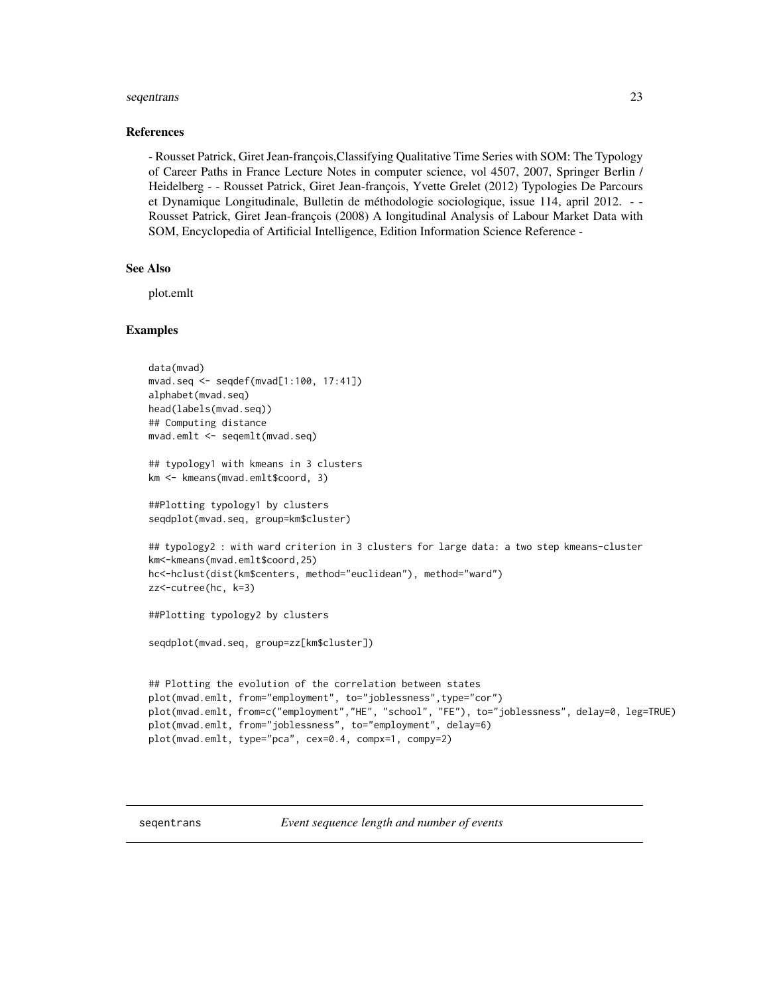#### <span id="page-22-0"></span>seqentrans 23

#### References

- Rousset Patrick, Giret Jean-françois,Classifying Qualitative Time Series with SOM: The Typology of Career Paths in France Lecture Notes in computer science, vol 4507, 2007, Springer Berlin / Heidelberg - - Rousset Patrick, Giret Jean-françois, Yvette Grelet (2012) Typologies De Parcours et Dynamique Longitudinale, Bulletin de méthodologie sociologique, issue 114, april 2012. - - Rousset Patrick, Giret Jean-françois (2008) A longitudinal Analysis of Labour Market Data with SOM, Encyclopedia of Artificial Intelligence, Edition Information Science Reference -

# See Also

plot.emlt

#### Examples

```
data(mvad)
mvad.seq <- seqdef(mvad[1:100, 17:41])
alphabet(mvad.seq)
head(labels(mvad.seq))
## Computing distance
mvad.emlt <- seqemlt(mvad.seq)
## typology1 with kmeans in 3 clusters
km <- kmeans(mvad.emlt$coord, 3)
##Plotting typology1 by clusters
seqdplot(mvad.seq, group=km$cluster)
## typology2 : with ward criterion in 3 clusters for large data: a two step kmeans-cluster
km<-kmeans(mvad.emlt$coord,25)
hc<-hclust(dist(km$centers, method="euclidean"), method="ward")
zz<-cutree(hc, k=3)
##Plotting typology2 by clusters
seqdplot(mvad.seq, group=zz[km$cluster])
## Plotting the evolution of the correlation between states
plot(mvad.emlt, from="employment", to="joblessness",type="cor")
plot(mvad.emlt, from=c("employment","HE", "school", "FE"), to="joblessness", delay=0, leg=TRUE)
plot(mvad.emlt, from="joblessness", to="employment", delay=6)
plot(mvad.emlt, type="pca", cex=0.4, compx=1, compy=2)
```
seqentrans *Event sequence length and number of events*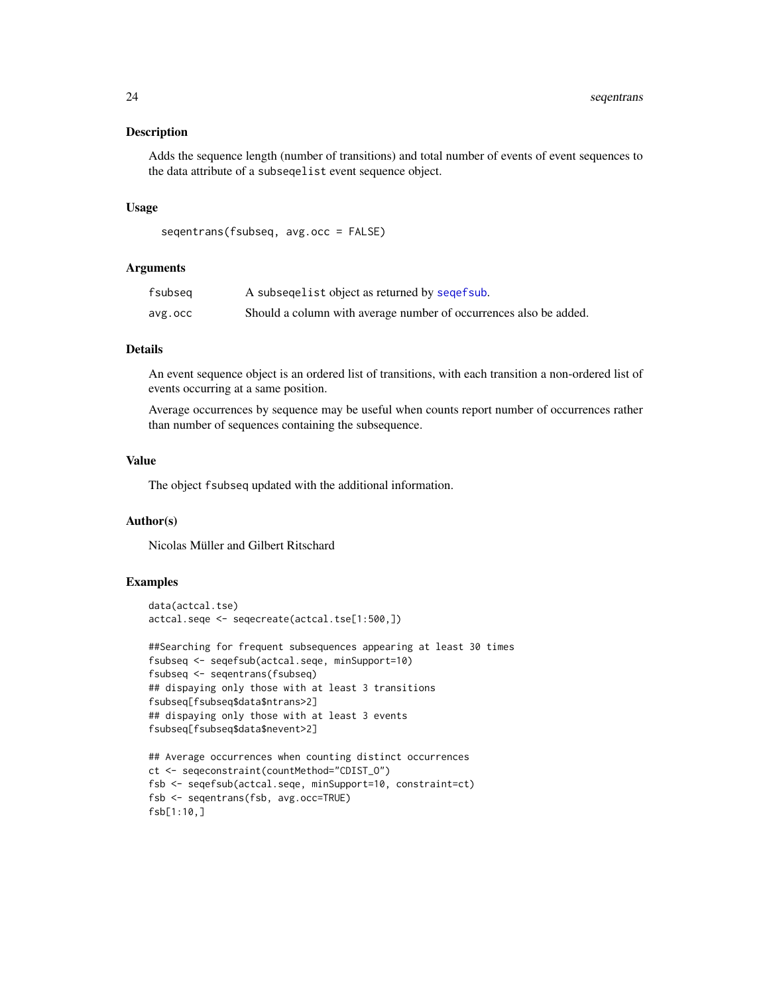#### Description

Adds the sequence length (number of transitions) and total number of events of event sequences to the data attribute of a subseqelist event sequence object.

#### Usage

```
seqentrans(fsubseq, avg.occ = FALSE)
```
#### Arguments

| fsubseq | A subsequelist object as returned by sequef sub.                  |
|---------|-------------------------------------------------------------------|
| avg.occ | Should a column with average number of occurrences also be added. |

# **Details**

An event sequence object is an ordered list of transitions, with each transition a non-ordered list of events occurring at a same position.

Average occurrences by sequence may be useful when counts report number of occurrences rather than number of sequences containing the subsequence.

#### Value

The object fsubseq updated with the additional information.

# Author(s)

Nicolas Müller and Gilbert Ritschard

```
data(actcal.tse)
actcal.seqe <- seqecreate(actcal.tse[1:500,])
```

```
##Searching for frequent subsequences appearing at least 30 times
fsubseq <- seqefsub(actcal.seqe, minSupport=10)
fsubseq <- seqentrans(fsubseq)
## dispaying only those with at least 3 transitions
fsubseq[fsubseq$data$ntrans>2]
## dispaying only those with at least 3 events
fsubseq[fsubseq$data$nevent>2]
```

```
## Average occurrences when counting distinct occurrences
ct <- seqeconstraint(countMethod="CDIST_O")
fsb <- seqefsub(actcal.seqe, minSupport=10, constraint=ct)
fsb <- seqentrans(fsb, avg.occ=TRUE)
fsb[1:10,]
```
<span id="page-23-0"></span>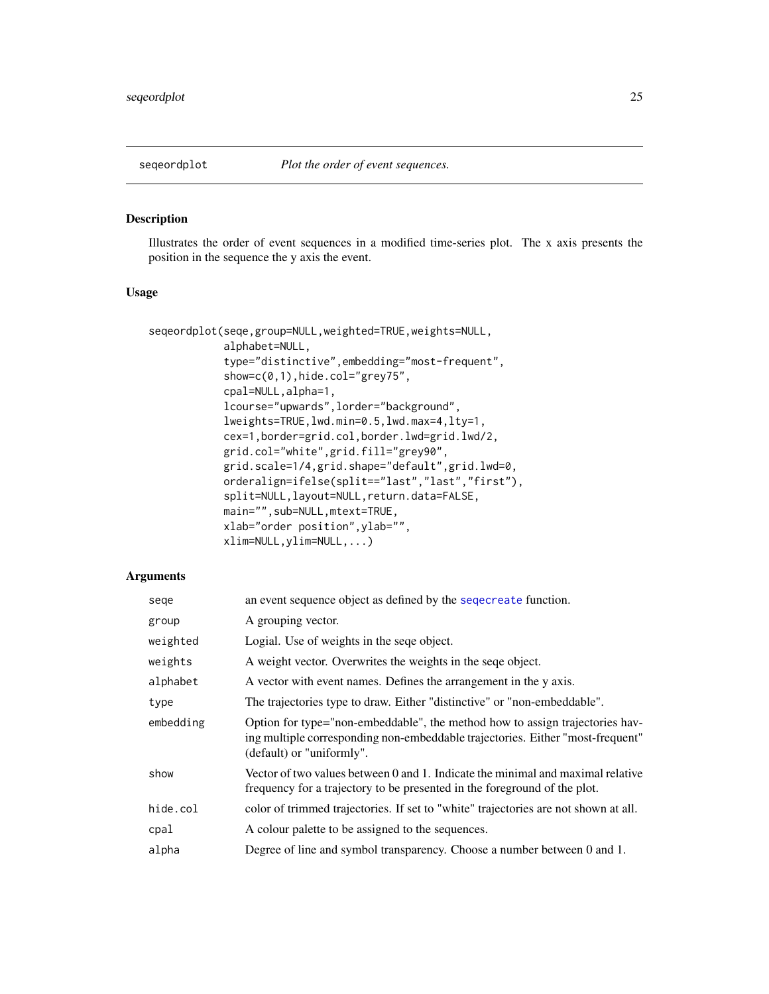<span id="page-24-0"></span>

#### Description

Illustrates the order of event sequences in a modified time-series plot. The x axis presents the position in the sequence the y axis the event.

# Usage

```
seqeordplot(seqe,group=NULL,weighted=TRUE,weights=NULL,
            alphabet=NULL,
            type="distinctive",embedding="most-frequent",
            show=c(0,1),hide.col="grey75",
            cpal=NULL,alpha=1,
            lcourse="upwards",lorder="background",
            lweights=TRUE,lwd.min=0.5,lwd.max=4,lty=1,
            cex=1,border=grid.col,border.lwd=grid.lwd/2,
            grid.col="white",grid.fill="grey90",
            grid.scale=1/4,grid.shape="default",grid.lwd=0,
            orderalign=ifelse(split=="last","last","first"),
            split=NULL,layout=NULL,return.data=FALSE,
            main="",sub=NULL,mtext=TRUE,
            xlab="order position",ylab="",
            xlim=NULL,ylim=NULL,...)
```

| sege      | an event sequence object as defined by the sequence function.                                                                                                                               |
|-----------|---------------------------------------------------------------------------------------------------------------------------------------------------------------------------------------------|
| group     | A grouping vector.                                                                                                                                                                          |
| weighted  | Logial. Use of weights in the seque object.                                                                                                                                                 |
| weights   | A weight vector. Overwrites the weights in the seque object.                                                                                                                                |
| alphabet  | A vector with event names. Defines the arrangement in the y axis.                                                                                                                           |
| type      | The trajectories type to draw. Either "distinctive" or "non-embeddable".                                                                                                                    |
| embedding | Option for type="non-embeddable", the method how to assign trajectories hav-<br>ing multiple corresponding non-embeddable trajectories. Either "most-frequent"<br>(default) or "uniformly". |
| show      | Vector of two values between 0 and 1. Indicate the minimal and maximal relative<br>frequency for a trajectory to be presented in the foreground of the plot.                                |
| hide.col  | color of trimmed trajectories. If set to "white" trajectories are not shown at all.                                                                                                         |
| cpal      | A colour palette to be assigned to the sequences.                                                                                                                                           |
| alpha     | Degree of line and symbol transparency. Choose a number between 0 and 1.                                                                                                                    |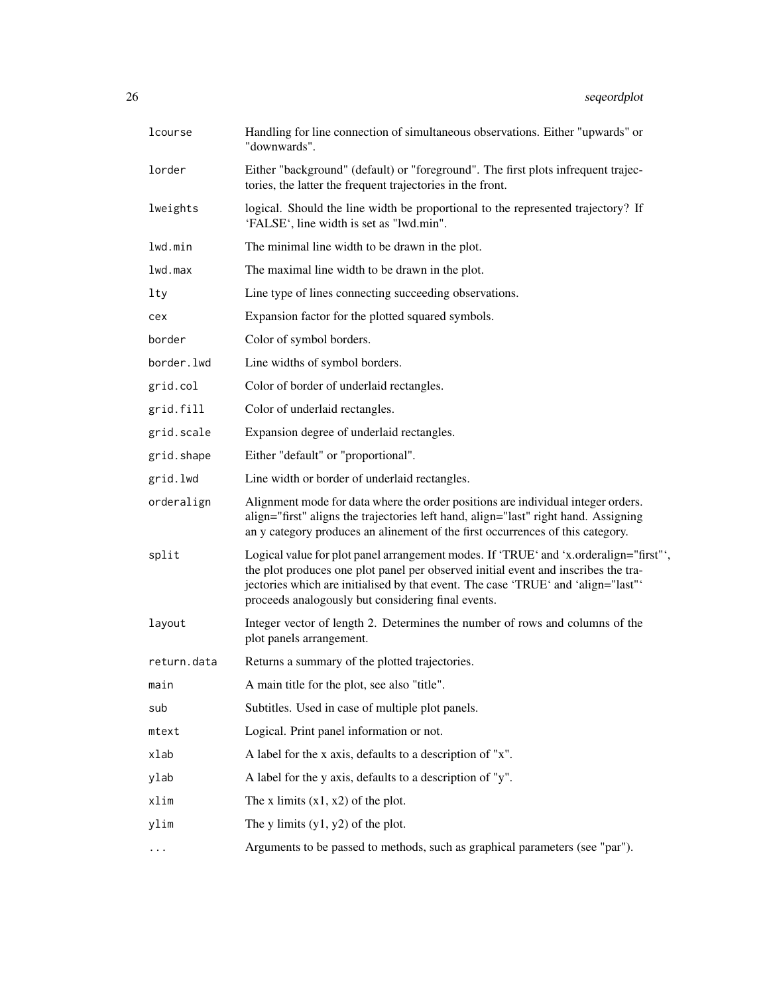| lcourse     | Handling for line connection of simultaneous observations. Either "upwards" or<br>"downwards".                                                                                                                                                                                                                         |
|-------------|------------------------------------------------------------------------------------------------------------------------------------------------------------------------------------------------------------------------------------------------------------------------------------------------------------------------|
| lorder      | Either "background" (default) or "foreground". The first plots infrequent trajec-<br>tories, the latter the frequent trajectories in the front.                                                                                                                                                                        |
| lweights    | logical. Should the line width be proportional to the represented trajectory? If<br>'FALSE', line width is set as "lwd.min".                                                                                                                                                                                           |
| lwd.min     | The minimal line width to be drawn in the plot.                                                                                                                                                                                                                                                                        |
| 1wd.max     | The maximal line width to be drawn in the plot.                                                                                                                                                                                                                                                                        |
| lty         | Line type of lines connecting succeeding observations.                                                                                                                                                                                                                                                                 |
| cex         | Expansion factor for the plotted squared symbols.                                                                                                                                                                                                                                                                      |
| border      | Color of symbol borders.                                                                                                                                                                                                                                                                                               |
| border.lwd  | Line widths of symbol borders.                                                                                                                                                                                                                                                                                         |
| grid.col    | Color of border of underlaid rectangles.                                                                                                                                                                                                                                                                               |
| grid.fill   | Color of underlaid rectangles.                                                                                                                                                                                                                                                                                         |
| grid.scale  | Expansion degree of underlaid rectangles.                                                                                                                                                                                                                                                                              |
| grid.shape  | Either "default" or "proportional".                                                                                                                                                                                                                                                                                    |
| grid.lwd    | Line width or border of underlaid rectangles.                                                                                                                                                                                                                                                                          |
| orderalign  | Alignment mode for data where the order positions are individual integer orders.<br>align="first" aligns the trajectories left hand, align="last" right hand. Assigning<br>an y category produces an alinement of the first occurrences of this category.                                                              |
| split       | Logical value for plot panel arrangement modes. If 'TRUE' and 'x.orderalign="first"',<br>the plot produces one plot panel per observed initial event and inscribes the tra-<br>jectories which are initialised by that event. The case 'TRUE' and 'align="last"'<br>proceeds analogously but considering final events. |
| layout      | Integer vector of length 2. Determines the number of rows and columns of the<br>plot panels arrangement.                                                                                                                                                                                                               |
| return.data | Returns a summary of the plotted trajectories.                                                                                                                                                                                                                                                                         |
| main        | A main title for the plot, see also "title".                                                                                                                                                                                                                                                                           |
| sub         | Subtitles. Used in case of multiple plot panels.                                                                                                                                                                                                                                                                       |
| mtext       | Logical. Print panel information or not.                                                                                                                                                                                                                                                                               |
| xlab        | A label for the x axis, defaults to a description of "x".                                                                                                                                                                                                                                                              |
| ylab        | A label for the y axis, defaults to a description of "y".                                                                                                                                                                                                                                                              |
| xlim        | The x limits $(x1, x2)$ of the plot.                                                                                                                                                                                                                                                                                   |
| ylim        | The y limits $(y1, y2)$ of the plot.                                                                                                                                                                                                                                                                                   |
| $\cdots$    | Arguments to be passed to methods, such as graphical parameters (see "par").                                                                                                                                                                                                                                           |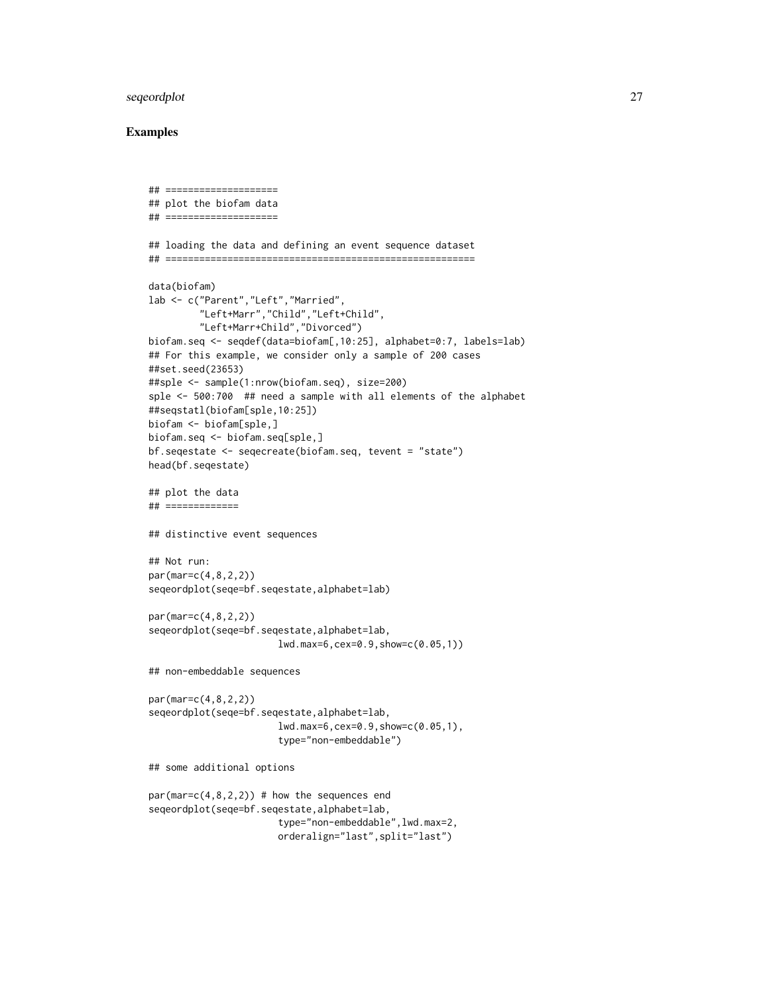# seqeordplot 27

```
## ====================
## plot the biofam data
## ====================
## loading the data and defining an event sequence dataset
## =======================================================
data(biofam)
lab <- c("Parent","Left","Married",
         "Left+Marr","Child","Left+Child",
         "Left+Marr+Child","Divorced")
biofam.seq <- seqdef(data=biofam[,10:25], alphabet=0:7, labels=lab)
## For this example, we consider only a sample of 200 cases
##set.seed(23653)
##sple <- sample(1:nrow(biofam.seq), size=200)
sple <- 500:700 ## need a sample with all elements of the alphabet
##seqstatl(biofam[sple,10:25])
biofam <- biofam[sple,]
biofam.seq <- biofam.seq[sple,]
bf.seqestate <- seqecreate(biofam.seq, tevent = "state")
head(bf.seqestate)
## plot the data
## =============
## distinctive event sequences
## Not run:
par(mar=c(4,8,2,2))
seqeordplot(seqe=bf.seqestate,alphabet=lab)
par(mar=c(4,8,2,2))
seqeordplot(seqe=bf.seqestate,alphabet=lab,
                       lwd.max=6,cex=0.9,show=c(0.05,1))
## non-embeddable sequences
par(mar=c(4,8,2,2))
seqeordplot(seqe=bf.seqestate,alphabet=lab,
                       lwd.max=6,cex=0.9,show=c(0.05,1),
                       type="non-embeddable")
## some additional options
par(max=c(4,8,2,2)) # how the sequences end
seqeordplot(seqe=bf.seqestate,alphabet=lab,
                       type="non-embeddable",lwd.max=2,
                       orderalign="last",split="last")
```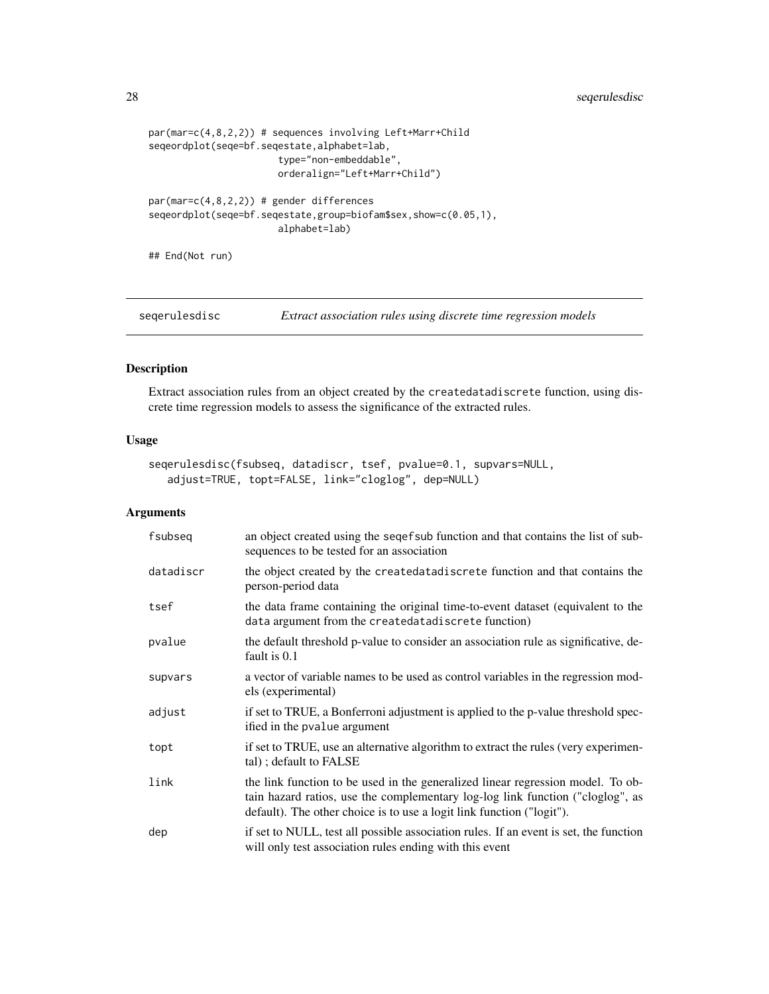# <span id="page-27-0"></span>28 seqerulesdisc

```
par(mar=c(4,8,2,2)) # sequences involving Left+Marr+Child
seqeordplot(seqe=bf.seqestate,alphabet=lab,
                       type="non-embeddable",
                       orderalign="Left+Marr+Child")
par(mar=c(4,8,2,2)) # gender differences
seqeordplot(seqe=bf.seqestate,group=biofam$sex,show=c(0.05,1),
                       alphabet=lab)
```
## End(Not run)

<span id="page-27-1"></span>seqerulesdisc *Extract association rules using discrete time regression models*

# Description

Extract association rules from an object created by the createdatadiscrete function, using discrete time regression models to assess the significance of the extracted rules.

#### Usage

```
seqerulesdisc(fsubseq, datadiscr, tsef, pvalue=0.1, supvars=NULL,
  adjust=TRUE, topt=FALSE, link="cloglog", dep=NULL)
```

| fsubseq   | an object created using the seqef sub function and that contains the list of sub-<br>sequences to be tested for an association                                                                                                             |
|-----------|--------------------------------------------------------------------------------------------------------------------------------------------------------------------------------------------------------------------------------------------|
| datadiscr | the object created by the createdatadiscrete function and that contains the<br>person-period data                                                                                                                                          |
| tsef      | the data frame containing the original time-to-event dataset (equivalent to the<br>data argument from the createdatadiscrete function)                                                                                                     |
| pvalue    | the default threshold p-value to consider an association rule as significative, de-<br>fault is 0.1                                                                                                                                        |
| supvars   | a vector of variable names to be used as control variables in the regression mod-<br>els (experimental)                                                                                                                                    |
| adjust    | if set to TRUE, a Bonferroni adjustment is applied to the p-value threshold spec-<br>ified in the pvalue argument                                                                                                                          |
| topt      | if set to TRUE, use an alternative algorithm to extract the rules (very experimen-<br>tal); default to FALSE                                                                                                                               |
| link      | the link function to be used in the generalized linear regression model. To ob-<br>tain hazard ratios, use the complementary log-log link function ("cloglog", as<br>default). The other choice is to use a logit link function ("logit"). |
| dep       | if set to NULL, test all possible association rules. If an event is set, the function<br>will only test association rules ending with this event                                                                                           |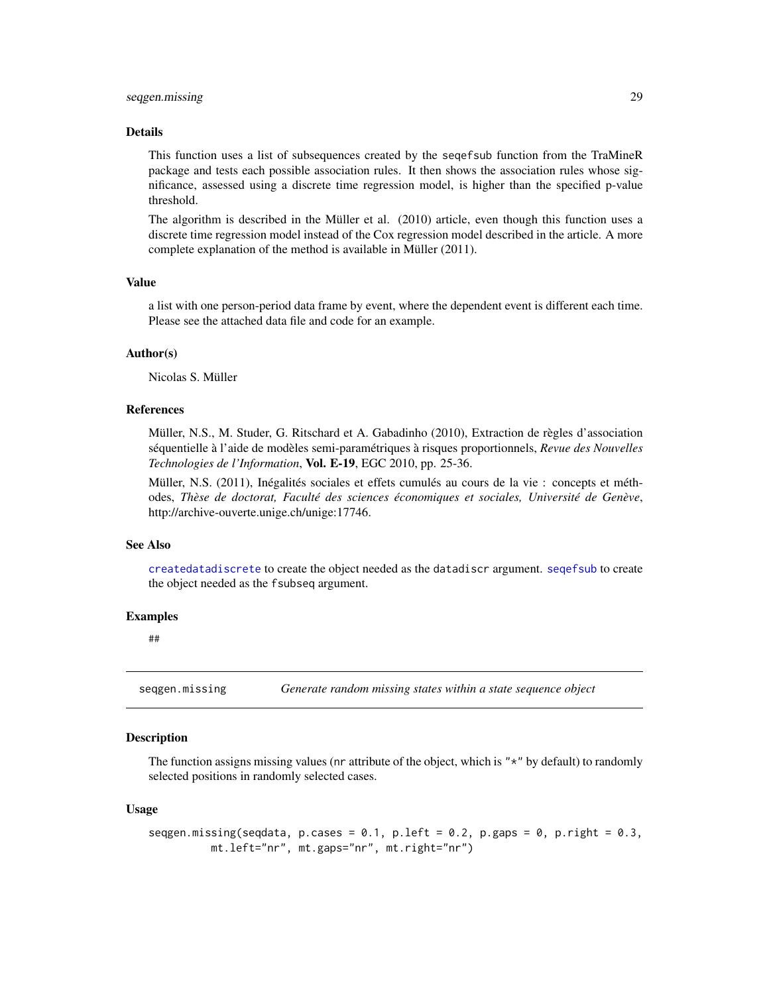#### <span id="page-28-0"></span>seqgen.missing 29

#### Details

This function uses a list of subsequences created by the seqefsub function from the TraMineR package and tests each possible association rules. It then shows the association rules whose significance, assessed using a discrete time regression model, is higher than the specified p-value threshold.

The algorithm is described in the Müller et al. (2010) article, even though this function uses a discrete time regression model instead of the Cox regression model described in the article. A more complete explanation of the method is available in Müller (2011).

#### Value

a list with one person-period data frame by event, where the dependent event is different each time. Please see the attached data file and code for an example.

#### Author(s)

Nicolas S. Müller

#### References

Müller, N.S., M. Studer, G. Ritschard et A. Gabadinho (2010), Extraction de règles d'association séquentielle à l'aide de modèles semi-paramétriques à risques proportionnels, *Revue des Nouvelles Technologies de l'Information*, Vol. E-19, EGC 2010, pp. 25-36.

Müller, N.S. (2011), Inégalités sociales et effets cumulés au cours de la vie : concepts et méthodes, *Thèse de doctorat, Faculté des sciences économiques et sociales, Université de Genève*, http://archive-ouverte.unige.ch/unige:17746.

#### See Also

[createdatadiscrete](#page-2-1) to create the object needed as the datadiscr argument. [seqefsub](#page-0-0) to create the object needed as the fsubseq argument.

#### Examples

##

seqgen.missing *Generate random missing states within a state sequence object*

#### Description

The function assigns missing values (nr attribute of the object, which is " $*$ " by default) to randomly selected positions in randomly selected cases.

#### Usage

```
seqgen.missing(seqdata, p.cases = 0.1, p.left = 0.2, p.gaps = 0, p.right = 0.3,
         mt.left="nr", mt.gaps="nr", mt.right="nr")
```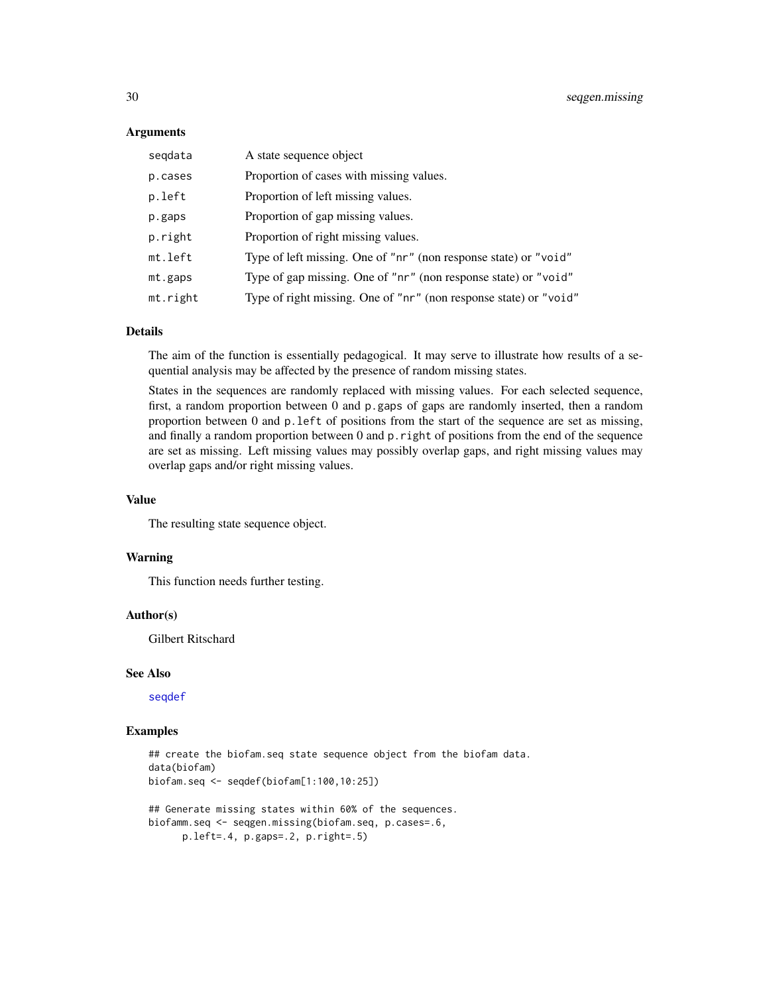#### <span id="page-29-0"></span>Arguments

| segdata  | A state sequence object                                           |
|----------|-------------------------------------------------------------------|
| p.cases  | Proportion of cases with missing values.                          |
| p.left   | Proportion of left missing values.                                |
| p.gaps   | Proportion of gap missing values.                                 |
| p.right  | Proportion of right missing values.                               |
| mt.left  | Type of left missing. One of "nr" (non response state) or "void"  |
| mt.gaps  | Type of gap missing. One of "nr" (non response state) or "void"   |
| mt.right | Type of right missing. One of "nr" (non response state) or "void" |

# Details

The aim of the function is essentially pedagogical. It may serve to illustrate how results of a sequential analysis may be affected by the presence of random missing states.

States in the sequences are randomly replaced with missing values. For each selected sequence, first, a random proportion between 0 and p.gaps of gaps are randomly inserted, then a random proportion between 0 and p.left of positions from the start of the sequence are set as missing, and finally a random proportion between 0 and p.right of positions from the end of the sequence are set as missing. Left missing values may possibly overlap gaps, and right missing values may overlap gaps and/or right missing values.

#### Value

The resulting state sequence object.

# Warning

This function needs further testing.

#### Author(s)

Gilbert Ritschard

#### See Also

[seqdef](#page-0-0)

```
## create the biofam.seq state sequence object from the biofam data.
data(biofam)
biofam.seq <- seqdef(biofam[1:100,10:25])
## Generate missing states within 60% of the sequences.
```

```
biofamm.seq <- seqgen.missing(biofam.seq, p.cases=.6,
```

```
p.left=.4, p.gaps=.2, p.right=.5)
```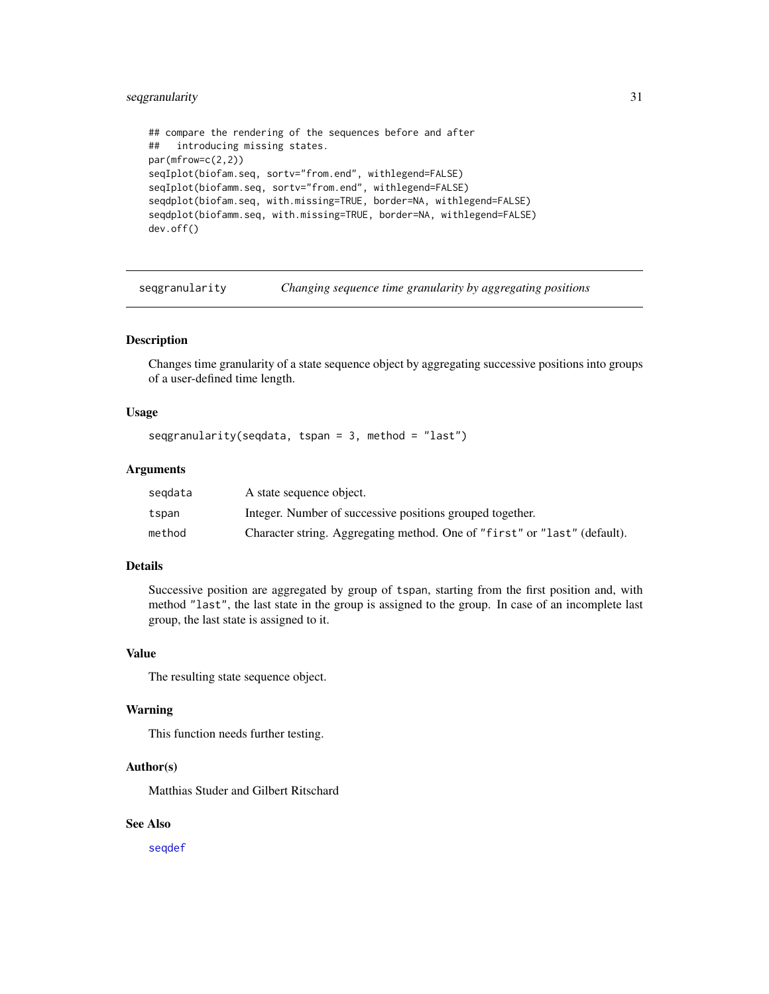# <span id="page-30-0"></span>seqgranularity 31

```
## compare the rendering of the sequences before and after
## introducing missing states.
par(mfrow=c(2,2))
seqIplot(biofam.seq, sortv="from.end", withlegend=FALSE)
seqIplot(biofamm.seq, sortv="from.end", withlegend=FALSE)
seqdplot(biofam.seq, with.missing=TRUE, border=NA, withlegend=FALSE)
seqdplot(biofamm.seq, with.missing=TRUE, border=NA, withlegend=FALSE)
dev.off()
```
seqgranularity *Changing sequence time granularity by aggregating positions*

#### Description

Changes time granularity of a state sequence object by aggregating successive positions into groups of a user-defined time length.

#### Usage

```
segranularity(seqdata, tspan = 3, method = "last")
```
#### Arguments

| segdata | A state sequence object.                                                  |
|---------|---------------------------------------------------------------------------|
| tspan   | Integer. Number of successive positions grouped together.                 |
| method  | Character string. Aggregating method. One of "first" or "last" (default). |

# Details

Successive position are aggregated by group of tspan, starting from the first position and, with method "last", the last state in the group is assigned to the group. In case of an incomplete last group, the last state is assigned to it.

#### Value

The resulting state sequence object.

# Warning

This function needs further testing.

# Author(s)

Matthias Studer and Gilbert Ritschard

# See Also

[seqdef](#page-0-0)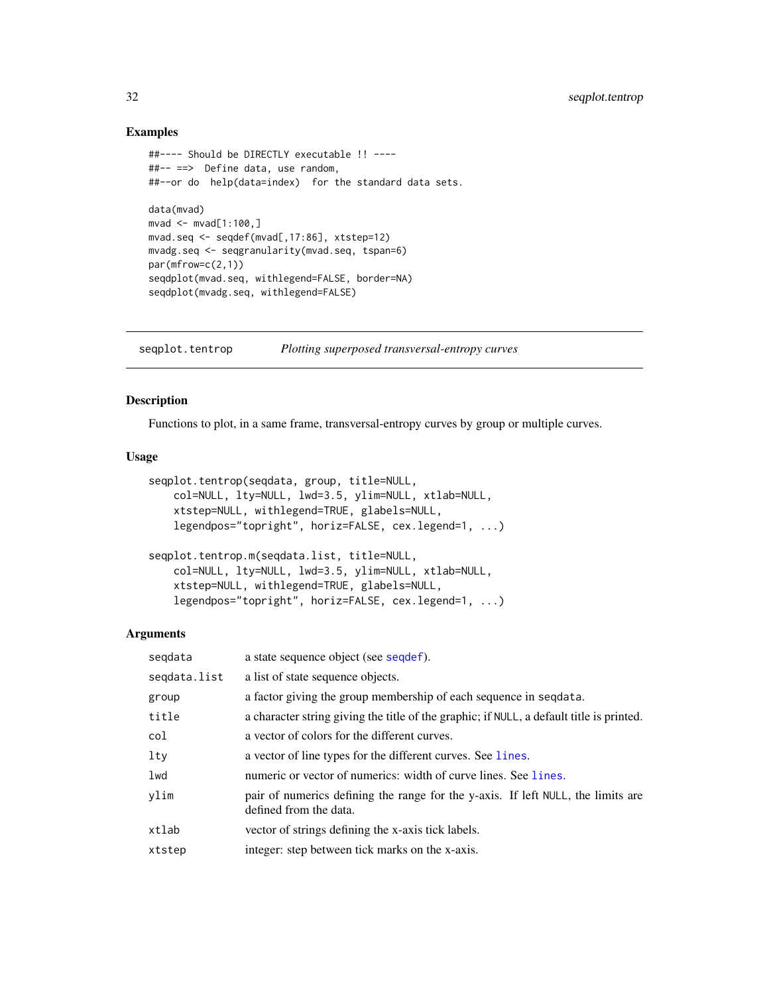# <span id="page-31-0"></span>Examples

```
##---- Should be DIRECTLY executable !! ----
##-- ==> Define data, use random,
##--or do help(data=index) for the standard data sets.
data(mvad)
mvad <- mvad[1:100,]
mvad.seq <- seqdef(mvad[,17:86], xtstep=12)
mvadg.seq <- seqgranularity(mvad.seq, tspan=6)
par(mfrow=c(2,1))
seqdplot(mvad.seq, withlegend=FALSE, border=NA)
seqdplot(mvadg.seq, withlegend=FALSE)
```
seqplot.tentrop *Plotting superposed transversal-entropy curves*

# Description

Functions to plot, in a same frame, transversal-entropy curves by group or multiple curves.

#### Usage

```
seqplot.tentrop(seqdata, group, title=NULL,
   col=NULL, lty=NULL, lwd=3.5, ylim=NULL, xtlab=NULL,
   xtstep=NULL, withlegend=TRUE, glabels=NULL,
   legendpos="topright", horiz=FALSE, cex.legend=1, ...)
seqplot.tentrop.m(seqdata.list, title=NULL,
   col=NULL, lty=NULL, lwd=3.5, ylim=NULL, xtlab=NULL,
   xtstep=NULL, withlegend=TRUE, glabels=NULL,
   legendpos="topright", horiz=FALSE, cex.legend=1, ...)
```

| segdata      | a state sequence object (see sequef).                                                                      |
|--------------|------------------------------------------------------------------------------------------------------------|
| segdata.list | a list of state sequence objects.                                                                          |
| group        | a factor giving the group membership of each sequence in sequata.                                          |
| title        | a character string giving the title of the graphic; if NULL, a default title is printed.                   |
| col          | a vector of colors for the different curves.                                                               |
| $1$ ty       | a vector of line types for the different curves. See lines.                                                |
| lwd          | numeric or vector of numerics: width of curve lines. See lines.                                            |
| vlim         | pair of numerics defining the range for the y-axis. If left NULL, the limits are<br>defined from the data. |
| xtlab        | vector of strings defining the x-axis tick labels.                                                         |
| xtstep       | integer: step between tick marks on the x-axis.                                                            |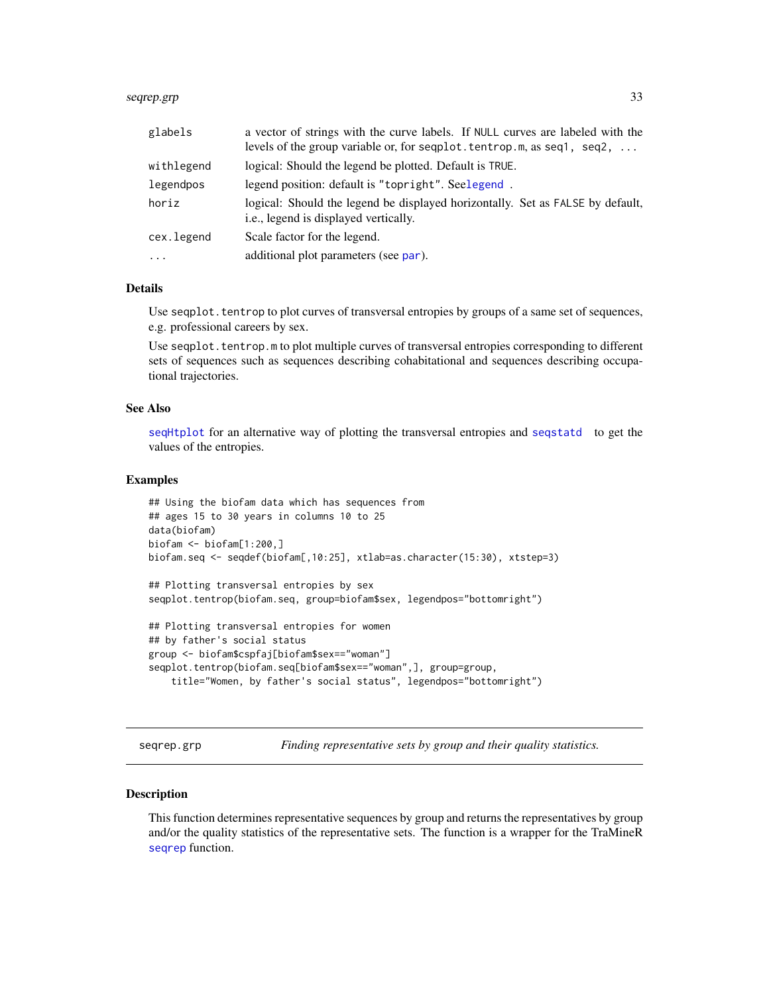#### <span id="page-32-0"></span>seqrep.grp 33

| glabels    | a vector of strings with the curve labels. If NULL curves are labeled with the<br>levels of the group variable or, for seqplot. tentrop.m, as seq1, seq2, |
|------------|-----------------------------------------------------------------------------------------------------------------------------------------------------------|
| withlegend | logical: Should the legend be plotted. Default is TRUE.                                                                                                   |
| legendpos  | legend position: default is "topright". Seelegend.                                                                                                        |
| horiz      | logical: Should the legend be displayed horizontally. Set as FALSE by default,<br>i.e., legend is displayed vertically.                                   |
| cex.legend | Scale factor for the legend.                                                                                                                              |
| $\cdot$    | additional plot parameters (see par).                                                                                                                     |

# Details

Use seqplot. tentrop to plot curves of transversal entropies by groups of a same set of sequences, e.g. professional careers by sex.

Use seqplot.tentrop.m to plot multiple curves of transversal entropies corresponding to different sets of sequences such as sequences describing cohabitational and sequences describing occupational trajectories.

# See Also

[seqHtplot](#page-0-0) for an alternative way of plotting the transversal entropies and [seqstatd](#page-0-0) to get the values of the entropies.

#### Examples

```
## Using the biofam data which has sequences from
## ages 15 to 30 years in columns 10 to 25
data(biofam)
biofam <- biofam[1:200,]
biofam.seq <- seqdef(biofam[,10:25], xtlab=as.character(15:30), xtstep=3)
## Plotting transversal entropies by sex
seqplot.tentrop(biofam.seq, group=biofam$sex, legendpos="bottomright")
```

```
## Plotting transversal entropies for women
## by father's social status
group <- biofam$cspfaj[biofam$sex=="woman"]
seqplot.tentrop(biofam.seq[biofam$sex=="woman",], group=group,
    title="Women, by father's social status", legendpos="bottomright")
```
seqrep.grp *Finding representative sets by group and their quality statistics.*

#### Description

This function determines representative sequences by group and returns the representatives by group and/or the quality statistics of the representative sets. The function is a wrapper for the TraMineR [seqrep](#page-0-0) function.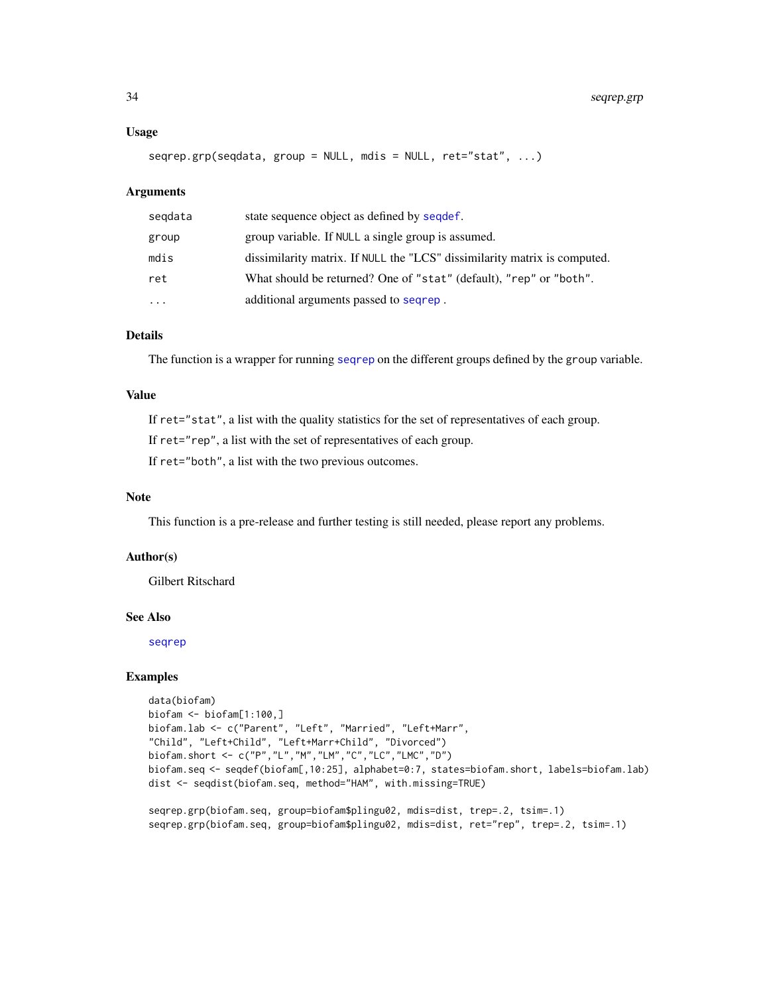#### <span id="page-33-0"></span>Usage

```
seqrep.grp(seqdata, group = NULL, mdis = NULL, ret="stat", ...)
```
#### Arguments

| segdata   | state sequence object as defined by sequef.                               |
|-----------|---------------------------------------------------------------------------|
| group     | group variable. If NULL a single group is assumed.                        |
| mdis      | dissimilarity matrix. If NULL the "LCS" dissimilarity matrix is computed. |
| ret       | What should be returned? One of "stat" (default), "rep" or "both".        |
| $\ddotsc$ | additional arguments passed to seqrep.                                    |

# Details

The function is a wrapper for running [seqrep](#page-0-0) on the different groups defined by the group variable.

# Value

If ret="stat", a list with the quality statistics for the set of representatives of each group.

If ret="rep", a list with the set of representatives of each group.

If ret="both", a list with the two previous outcomes.

# Note

This function is a pre-release and further testing is still needed, please report any problems.

# Author(s)

Gilbert Ritschard

# See Also

[seqrep](#page-0-0)

```
data(biofam)
biofam <- biofam[1:100,]
biofam.lab <- c("Parent", "Left", "Married", "Left+Marr",
"Child", "Left+Child", "Left+Marr+Child", "Divorced")
biofam.short <- c("P","L","M","LM","C","LC","LMC","D")
biofam.seq <- seqdef(biofam[,10:25], alphabet=0:7, states=biofam.short, labels=biofam.lab)
dist <- seqdist(biofam.seq, method="HAM", with.missing=TRUE)
```

```
seqrep.grp(biofam.seq, group=biofam$plingu02, mdis=dist, trep=.2, tsim=.1)
seqrep.grp(biofam.seq, group=biofam$plingu02, mdis=dist, ret="rep", trep=.2, tsim=.1)
```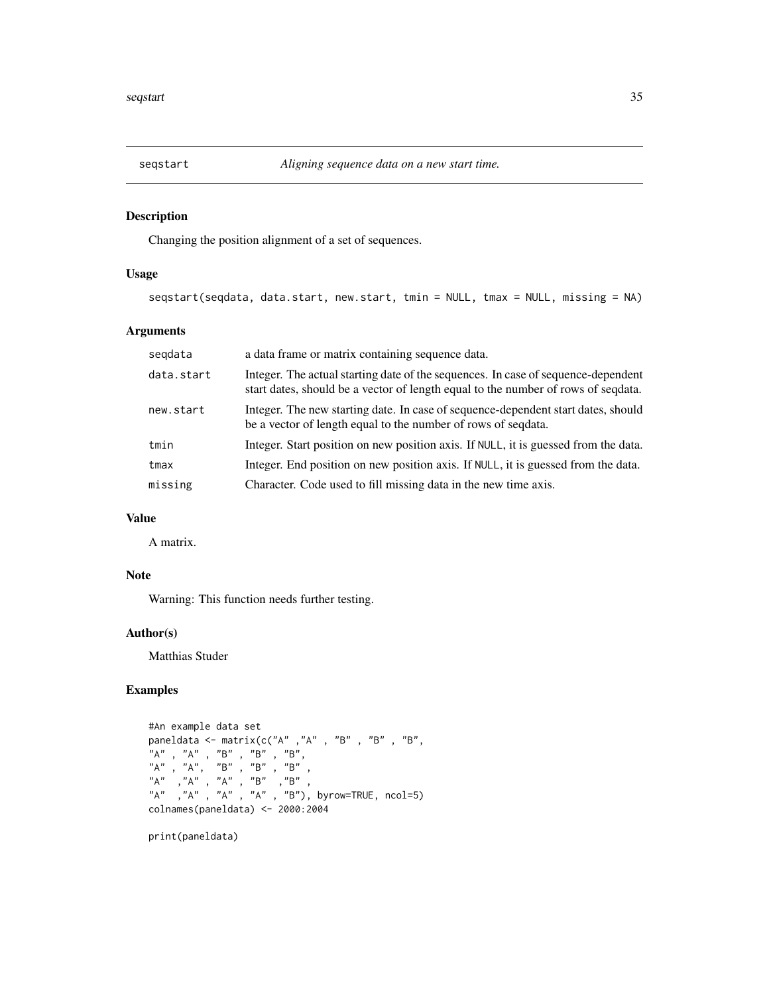<span id="page-34-0"></span>

# Description

Changing the position alignment of a set of sequences.

# Usage

```
seqstart(seqdata, data.start, new.start, tmin = NULL, tmax = NULL, missing = NA)
```
# Arguments

| data.start | Integer. The actual starting date of the sequences. In case of sequence-dependent<br>start dates, should be a vector of length equal to the number of rows of sequata. |
|------------|------------------------------------------------------------------------------------------------------------------------------------------------------------------------|
| new.start  | Integer. The new starting date. In case of sequence-dependent start dates, should<br>be a vector of length equal to the number of rows of seqdata.                     |
| tmin       | Integer. Start position on new position axis. If NULL, it is guessed from the data.                                                                                    |
| tmax       | Integer. End position on new position axis. If NULL, it is guessed from the data.                                                                                      |
| missing    | Character. Code used to fill missing data in the new time axis.                                                                                                        |

# Value

A matrix.

#### Note

Warning: This function needs further testing.

# Author(s)

Matthias Studer

# Examples

```
#An example data set
paneldata <- matrix(c("A" ,"A" , "B" , "B" , "B",
"A" , "A" , "B" , "B" , "B",
"A" , "A", "B" , "B" , "B" ,
"A" ,"A" , "A" , "B" ,"B" ,
"A" ,"A" , "A" , "A" , "B"), byrow=TRUE, ncol=5)
colnames(paneldata) <- 2000:2004
```
print(paneldata)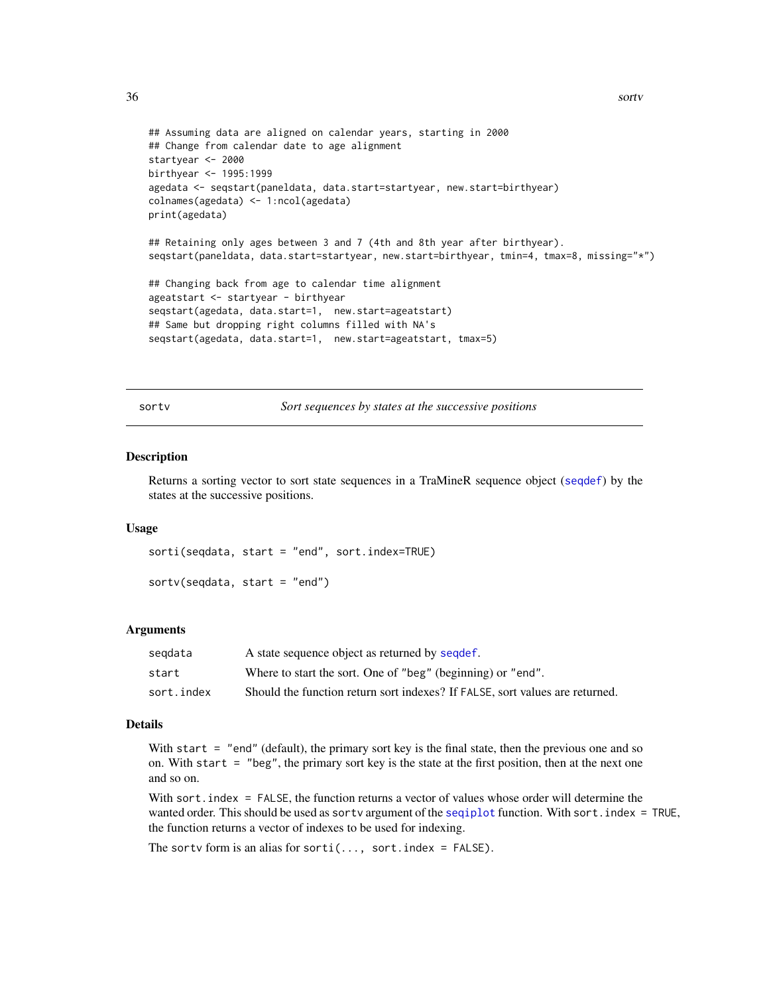```
## Assuming data are aligned on calendar years, starting in 2000
## Change from calendar date to age alignment
startyear <- 2000
birthyear <- 1995:1999
agedata <- seqstart(paneldata, data.start=startyear, new.start=birthyear)
colnames(agedata) <- 1:ncol(agedata)
print(agedata)
## Retaining only ages between 3 and 7 (4th and 8th year after birthyear).
seqstart(paneldata, data.start=startyear, new.start=birthyear, tmin=4, tmax=8, missing="*")
## Changing back from age to calendar time alignment
ageatstart <- startyear - birthyear
seqstart(agedata, data.start=1, new.start=ageatstart)
## Same but dropping right columns filled with NA's
```

```
seqstart(agedata, data.start=1, new.start=ageatstart, tmax=5)
```
sortv *Sort sequences by states at the successive positions*

#### **Description**

Returns a sorting vector to sort state sequences in a TraMineR sequence object ([seqdef](#page-0-0)) by the states at the successive positions.

#### Usage

sorti(seqdata, start = "end", sort.index=TRUE)  $sortv$ (seqdata, start = "end")

#### Arguments

| segdata    | A state sequence object as returned by sequef.                               |
|------------|------------------------------------------------------------------------------|
| start      | Where to start the sort. One of "beg" (beginning) or "end".                  |
| sort.index | Should the function return sort indexes? If FALSE, sort values are returned. |

# Details

With start = "end" (default), the primary sort key is the final state, then the previous one and so on. With start  $=$  "beg", the primary sort key is the state at the first position, then at the next one and so on.

With sort. index = FALSE, the function returns a vector of values whose order will determine the wanted order. This should be used as sortv argument of the sequation function. With sort. index = TRUE, the function returns a vector of indexes to be used for indexing.

The sortv form is an alias for sorti(..., sort.index =  $FALSE$ ).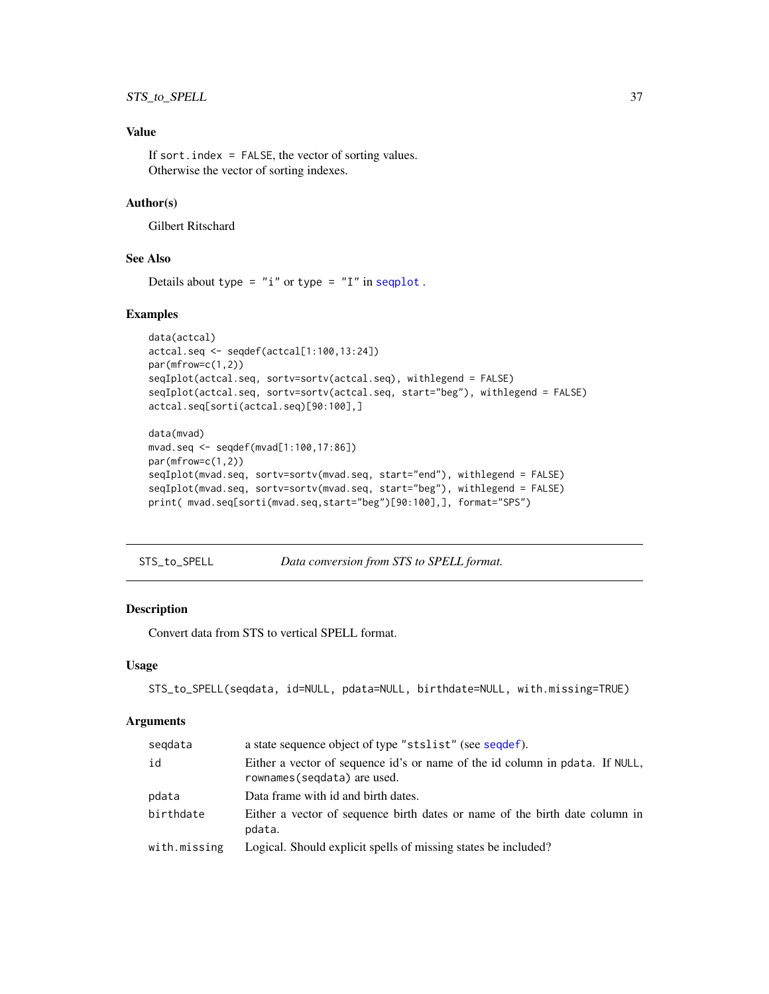# <span id="page-36-0"></span>Value

If sort. index  $=$  FALSE, the vector of sorting values. Otherwise the vector of sorting indexes.

# Author(s)

Gilbert Ritschard

# See Also

Details about type =  $"i"$  or type =  $"I"$  in [seqplot](#page-0-0).

# Examples

```
data(actcal)
actcal.seq <- seqdef(actcal[1:100,13:24])
par(mfrow=c(1,2))
seqIplot(actcal.seq, sortv=sortv(actcal.seq), withlegend = FALSE)
seqIplot(actcal.seq, sortv=sortv(actcal.seq, start="beg"), withlegend = FALSE)
actcal.seq[sorti(actcal.seq)[90:100],]
```

```
data(mvad)
mvad.seq <- seqdef(mvad[1:100,17:86])
par(mfrow=c(1,2))
seqIplot(mvad.seq, sortv=sortv(mvad.seq, start="end"), withlegend = FALSE)
seqIplot(mvad.seq, sortv=sortv(mvad.seq, start="beg"), withlegend = FALSE)
print( mvad.seq[sorti(mvad.seq,start="beg")[90:100],], format="SPS")
```
STS\_to\_SPELL *Data conversion from STS to SPELL format.*

#### Description

Convert data from STS to vertical SPELL format.

#### Usage

```
STS_to_SPELL(seqdata, id=NULL, pdata=NULL, birthdate=NULL, with.missing=TRUE)
```

| seqdata      | a state sequence object of type "stslist" (see sequef).                                                      |
|--------------|--------------------------------------------------------------------------------------------------------------|
| id           | Either a vector of sequence id's or name of the id column in pdata. If NULL,<br>rownames (seqdata) are used. |
| pdata        | Data frame with id and birth dates.                                                                          |
| birthdate    | Either a vector of sequence birth dates or name of the birth date column in<br>pdata.                        |
| with.missing | Logical. Should explicit spells of missing states be included?                                               |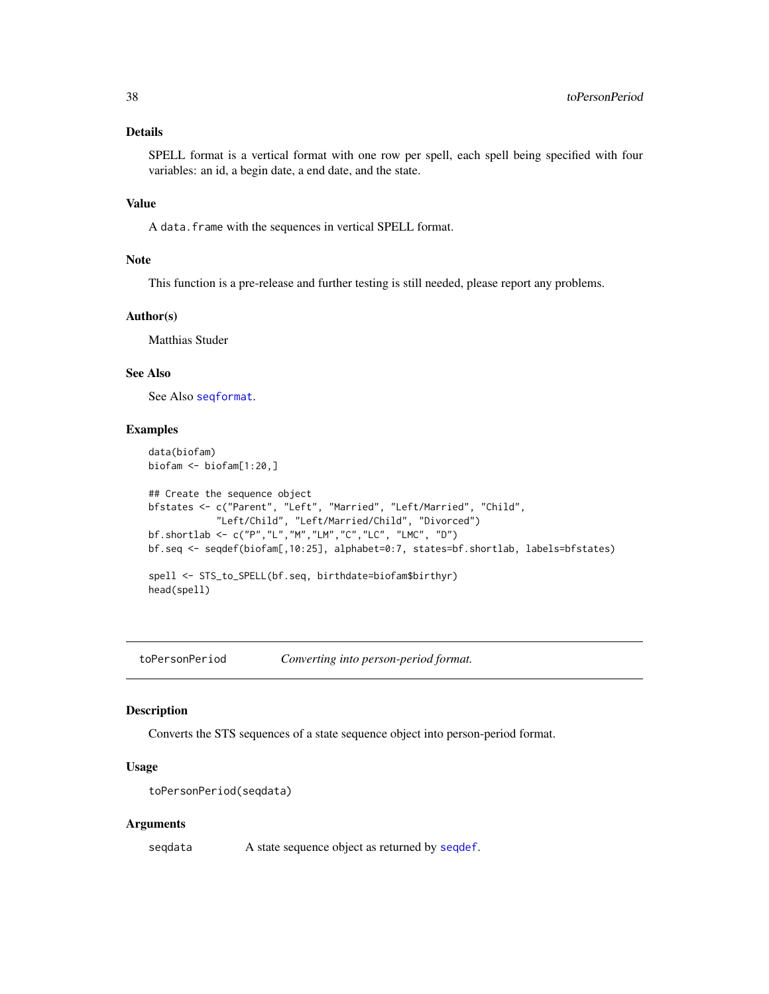# Details

SPELL format is a vertical format with one row per spell, each spell being specified with four variables: an id, a begin date, a end date, and the state.

# Value

A data.frame with the sequences in vertical SPELL format.

#### Note

This function is a pre-release and further testing is still needed, please report any problems.

#### Author(s)

Matthias Studer

# See Also

See Also [seqformat](#page-0-0).

#### Examples

```
data(biofam)
biofam <- biofam[1:20,]
## Create the sequence object
bfstates <- c("Parent", "Left", "Married", "Left/Married", "Child",
            "Left/Child", "Left/Married/Child", "Divorced")
bf.shortlab <- c("P","L","M","LM","C","LC", "LMC", "D")
bf.seq <- seqdef(biofam[,10:25], alphabet=0:7, states=bf.shortlab, labels=bfstates)
spell <- STS_to_SPELL(bf.seq, birthdate=biofam$birthyr)
head(spell)
```
toPersonPeriod *Converting into person-period format.*

# Description

Converts the STS sequences of a state sequence object into person-period format.

# Usage

```
toPersonPeriod(seqdata)
```
#### Arguments

seqdata A state sequence object as returned by [seqdef](#page-0-0).

<span id="page-37-0"></span>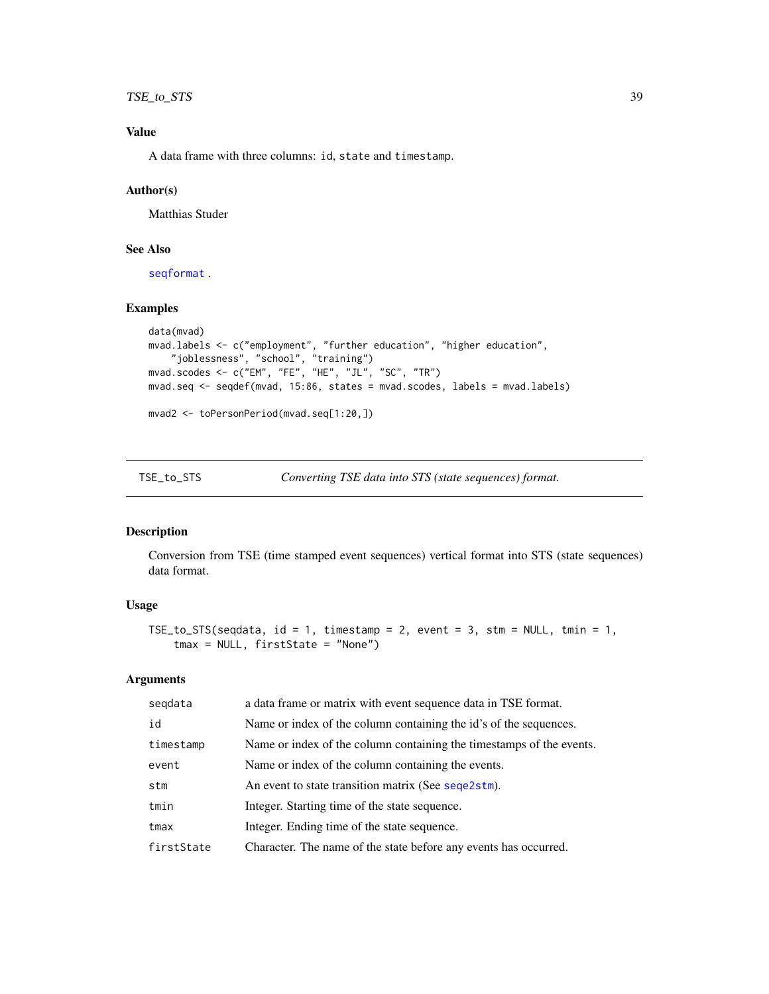# <span id="page-38-0"></span>TSE\_to\_STS 39

# Value

A data frame with three columns: id, state and timestamp.

# Author(s)

Matthias Studer

# See Also

[seqformat](#page-0-0) .

# Examples

```
data(mvad)
mvad.labels <- c("employment", "further education", "higher education",
    "joblessness", "school", "training")
mvad.scodes <- c("EM", "FE", "HE", "JL", "SC", "TR")
mvad.seq <- seqdef(mvad, 15:86, states = mvad.scodes, labels = mvad.labels)
```

```
mvad2 <- toPersonPeriod(mvad.seq[1:20,])
```
<span id="page-38-1"></span>TSE\_to\_STS *Converting TSE data into STS (state sequences) format.*

# Description

Conversion from TSE (time stamped event sequences) vertical format into STS (state sequences) data format.

# Usage

```
TSE_to_STS(seqdata, id = 1, timestamp = 2, event = 3, stm = NULL, tmin = 1,
    tmax = NULL, firstState = "None")
```

| segdata    | a data frame or matrix with event sequence data in TSE format.       |
|------------|----------------------------------------------------------------------|
| id         | Name or index of the column containing the id's of the sequences.    |
| timestamp  | Name or index of the column containing the timestamps of the events. |
| event      | Name or index of the column containing the events.                   |
| stm        | An event to state transition matrix (See sequentless).               |
| tmin       | Integer. Starting time of the state sequence.                        |
| tmax       | Integer. Ending time of the state sequence.                          |
| firstState | Character. The name of the state before any events has occurred.     |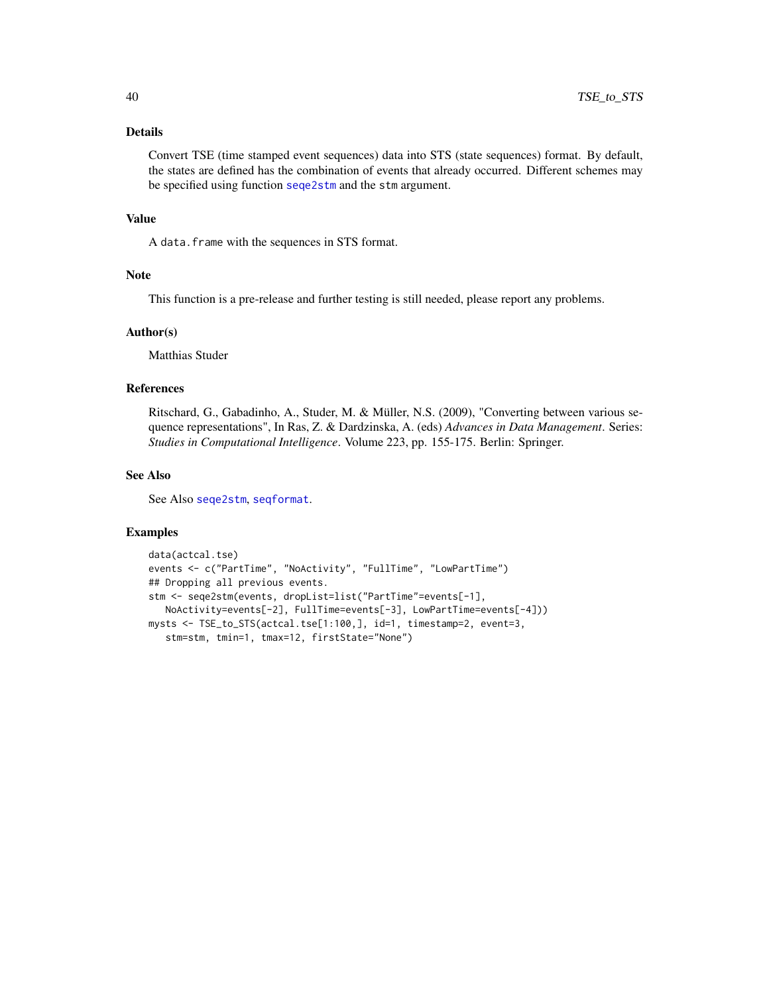# <span id="page-39-0"></span>Details

Convert TSE (time stamped event sequences) data into STS (state sequences) format. By default, the states are defined has the combination of events that already occurred. Different schemes may be specified using function [seqe2stm](#page-16-1) and the stm argument.

#### Value

A data.frame with the sequences in STS format.

# Note

This function is a pre-release and further testing is still needed, please report any problems.

# Author(s)

Matthias Studer

# References

Ritschard, G., Gabadinho, A., Studer, M. & Müller, N.S. (2009), "Converting between various sequence representations", In Ras, Z. & Dardzinska, A. (eds) *Advances in Data Management*. Series: *Studies in Computational Intelligence*. Volume 223, pp. 155-175. Berlin: Springer.

# See Also

See Also [seqe2stm](#page-16-1), [seqformat](#page-0-0).

```
data(actcal.tse)
events <- c("PartTime", "NoActivity", "FullTime", "LowPartTime")
## Dropping all previous events.
stm <- seqe2stm(events, dropList=list("PartTime"=events[-1],
  NoActivity=events[-2], FullTime=events[-3], LowPartTime=events[-4]))
mysts <- TSE_to_STS(actcal.tse[1:100,], id=1, timestamp=2, event=3,
   stm=stm, tmin=1, tmax=12, firstState="None")
```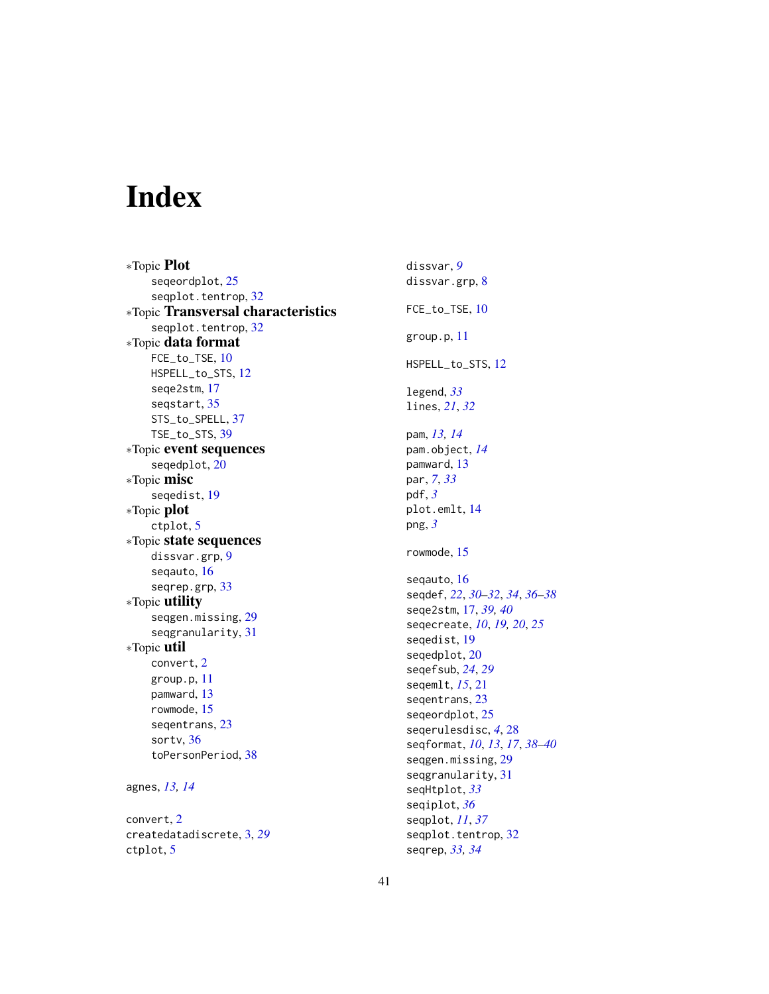# <span id="page-40-0"></span>Index

∗Topic Plot seqeordplot, [25](#page-24-0) seqplot.tentrop, [32](#page-31-0) ∗Topic Transversal characteristics seqplot.tentrop, [32](#page-31-0) ∗Topic data format FCE\_to\_TSE, [10](#page-9-0) HSPELL\_to\_STS, [12](#page-11-0) seqe2stm, [17](#page-16-0) seqstart, [35](#page-34-0) STS\_to\_SPELL, [37](#page-36-0) TSE\_to\_STS, [39](#page-38-0) ∗Topic event sequences seqedplot, [20](#page-19-0) ∗Topic misc seqedist, [19](#page-18-0) ∗Topic plot ctplot, [5](#page-4-0) ∗Topic state sequences dissvar.grp, [9](#page-8-0) seqauto, [16](#page-15-0) seqrep.grp, [33](#page-32-0) ∗Topic utility seqgen.missing, [29](#page-28-0) seqgranularity, [31](#page-30-0) ∗Topic util convert, [2](#page-1-0) group.p, [11](#page-10-0) pamward, [13](#page-12-0) rowmode, [15](#page-14-0) seqentrans, [23](#page-22-0) sortv, [36](#page-35-0) toPersonPeriod, [38](#page-37-0) agnes, *[13,](#page-12-0) [14](#page-13-0)*

convert, [2](#page-1-0) createdatadiscrete, [3,](#page-2-0) *[29](#page-28-0)* ctplot, [5](#page-4-0)

dissvar, *[9](#page-8-0)* dissvar.grp, [8](#page-7-0) FCE\_to\_TSE, [10](#page-9-0) group.p, [11](#page-10-0) HSPELL\_to\_STS, [12](#page-11-0) legend, *[33](#page-32-0)* lines, *[21](#page-20-0)*, *[32](#page-31-0)* pam, *[13,](#page-12-0) [14](#page-13-0)* pam.object, *[14](#page-13-0)* pamward, [13](#page-12-0) par, *[7](#page-6-0)*, *[33](#page-32-0)* pdf, *[3](#page-2-0)* plot.emlt, [14](#page-13-0) png, *[3](#page-2-0)* rowmode, [15](#page-14-0) seqauto, [16](#page-15-0) seqdef, *[22](#page-21-0)*, *[30](#page-29-0)[–32](#page-31-0)*, *[34](#page-33-0)*, *[36](#page-35-0)[–38](#page-37-0)* seqe2stm, [17,](#page-16-0) *[39,](#page-38-0) [40](#page-39-0)* seqecreate, *[10](#page-9-0)*, *[19,](#page-18-0) [20](#page-19-0)*, *[25](#page-24-0)* seqedist, [19](#page-18-0) seqedplot, [20](#page-19-0) seqefsub, *[24](#page-23-0)*, *[29](#page-28-0)* seqemlt, *[15](#page-14-0)*, [21](#page-20-0) seqentrans, [23](#page-22-0) seqeordplot, [25](#page-24-0) seqerulesdisc, *[4](#page-3-0)*, [28](#page-27-0) seqformat, *[10](#page-9-0)*, *[13](#page-12-0)*, *[17](#page-16-0)*, *[38](#page-37-0)[–40](#page-39-0)* seqgen.missing, [29](#page-28-0) seqgranularity, [31](#page-30-0) seqHtplot, *[33](#page-32-0)* seqiplot, *[36](#page-35-0)* seqplot, *[11](#page-10-0)*, *[37](#page-36-0)* seqplot.tentrop, [32](#page-31-0) seqrep, *[33,](#page-32-0) [34](#page-33-0)*